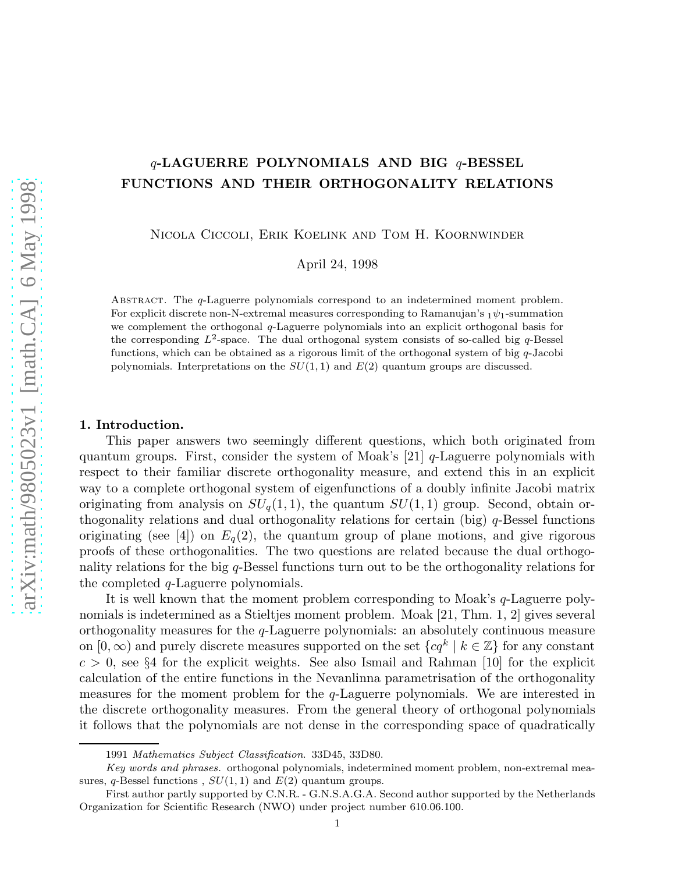# $q$ -LAGUERRE POLYNOMIALS AND BIG  $q$ -BESSEL FUNCTIONS AND THEIR ORTHOGONALITY RELATIONS

Nicola Ciccoli, Erik Koelink and Tom H. Koornwinder

April 24, 1998

Abstract. The q-Laguerre polynomials correspond to an indetermined moment problem. For explicit discrete non-N-extremal measures corresponding to Ramanujan's  $_1\psi_1$ -summation we complement the orthogonal q-Laguerre polynomials into an explicit orthogonal basis for the corresponding  $L^2$ -space. The dual orthogonal system consists of so-called big q-Bessel functions, which can be obtained as a rigorous limit of the orthogonal system of big  $q$ -Jacobi polynomials. Interpretations on the  $SU(1, 1)$  and  $E(2)$  quantum groups are discussed.

## 1. Introduction.

This paper answers two seemingly different questions, which both originated from quantum groups. First, consider the system of Moak's  $[21]$  q-Laguerre polynomials with respect to their familiar discrete orthogonality measure, and extend this in an explicit way to a complete orthogonal system of eigenfunctions of a doubly infinite Jacobi matrix originating from analysis on  $SU_q(1,1)$ , the quantum  $SU(1,1)$  group. Second, obtain orthogonality relations and dual orthogonality relations for certain (big) q-Bessel functions originating (see [4]) on  $E_q(2)$ , the quantum group of plane motions, and give rigorous proofs of these orthogonalities. The two questions are related because the dual orthogonality relations for the big q-Bessel functions turn out to be the orthogonality relations for the completed q-Laguerre polynomials.

It is well known that the moment problem corresponding to Moak's q-Laguerre polynomials is indetermined as a Stieltjes moment problem. Moak [21, Thm. 1, 2] gives several orthogonality measures for the q-Laguerre polynomials: an absolutely continuous measure on  $[0, \infty)$  and purely discrete measures supported on the set  $\{cq^k \mid k \in \mathbb{Z}\}$  for any constant  $c > 0$ , see §4 for the explicit weights. See also Ismail and Rahman [10] for the explicit calculation of the entire functions in the Nevanlinna parametrisation of the orthogonality measures for the moment problem for the q-Laguerre polynomials. We are interested in the discrete orthogonality measures. From the general theory of orthogonal polynomials it follows that the polynomials are not dense in the corresponding space of quadratically

<sup>1991</sup> Mathematics Subject Classification. 33D45, 33D80.

Key words and phrases. orthogonal polynomials, indetermined moment problem, non-extremal measures, q-Bessel functions,  $SU(1, 1)$  and  $E(2)$  quantum groups.

First author partly supported by C.N.R. - G.N.S.A.G.A. Second author supported by the Netherlands Organization for Scientific Research (NWO) under project number 610.06.100.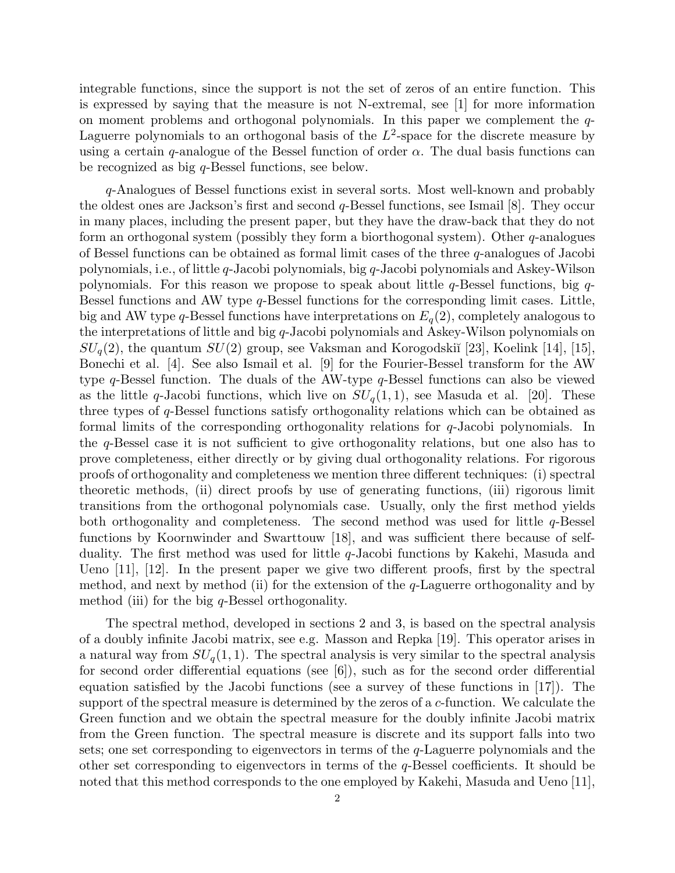integrable functions, since the support is not the set of zeros of an entire function. This is expressed by saying that the measure is not N-extremal, see [1] for more information on moment problems and orthogonal polynomials. In this paper we complement the q-Laguerre polynomials to an orthogonal basis of the  $L^2$ -space for the discrete measure by using a certain q-analogue of the Bessel function of order  $\alpha$ . The dual basis functions can be recognized as big q-Bessel functions, see below.

q-Analogues of Bessel functions exist in several sorts. Most well-known and probably the oldest ones are Jackson's first and second q-Bessel functions, see Ismail [8]. They occur in many places, including the present paper, but they have the draw-back that they do not form an orthogonal system (possibly they form a biorthogonal system). Other  $q$ -analogues of Bessel functions can be obtained as formal limit cases of the three q-analogues of Jacobi polynomials, i.e., of little q-Jacobi polynomials, big q-Jacobi polynomials and Askey-Wilson polynomials. For this reason we propose to speak about little  $q$ -Bessel functions, big  $q$ -Bessel functions and AW type q-Bessel functions for the corresponding limit cases. Little, big and AW type q-Bessel functions have interpretations on  $E_q(2)$ , completely analogous to the interpretations of little and big q-Jacobi polynomials and Askey-Wilson polynomials on  $SU_q(2)$ , the quantum  $SU(2)$  group, see Vaksman and Korogodskiı̆ [23], Koelink [14], [15], Bonechi et al. [4]. See also Ismail et al. [9] for the Fourier-Bessel transform for the AW type q-Bessel function. The duals of the AW-type q-Bessel functions can also be viewed as the little q-Jacobi functions, which live on  $SU_q(1,1)$ , see Masuda et al. [20]. These three types of q-Bessel functions satisfy orthogonality relations which can be obtained as formal limits of the corresponding orthogonality relations for q-Jacobi polynomials. In the q-Bessel case it is not sufficient to give orthogonality relations, but one also has to prove completeness, either directly or by giving dual orthogonality relations. For rigorous proofs of orthogonality and completeness we mention three different techniques: (i) spectral theoretic methods, (ii) direct proofs by use of generating functions, (iii) rigorous limit transitions from the orthogonal polynomials case. Usually, only the first method yields both orthogonality and completeness. The second method was used for little  $q$ -Bessel functions by Koornwinder and Swarttouw [18], and was sufficient there because of selfduality. The first method was used for little  $q$ -Jacobi functions by Kakehi, Masuda and Ueno [11], [12]. In the present paper we give two different proofs, first by the spectral method, and next by method (ii) for the extension of the  $q$ -Laguerre orthogonality and by method (iii) for the big  $q$ -Bessel orthogonality.

The spectral method, developed in sections 2 and 3, is based on the spectral analysis of a doubly infinite Jacobi matrix, see e.g. Masson and Repka [19]. This operator arises in a natural way from  $SU_q(1,1)$ . The spectral analysis is very similar to the spectral analysis for second order differential equations (see  $[6]$ ), such as for the second order differential equation satisfied by the Jacobi functions (see a survey of these functions in  $[17]$ ). The support of the spectral measure is determined by the zeros of a c-function. We calculate the Green function and we obtain the spectral measure for the doubly infinite Jacobi matrix from the Green function. The spectral measure is discrete and its support falls into two sets; one set corresponding to eigenvectors in terms of the  $q$ -Laguerre polynomials and the other set corresponding to eigenvectors in terms of the q-Bessel coefficients. It should be noted that this method corresponds to the one employed by Kakehi, Masuda and Ueno [11],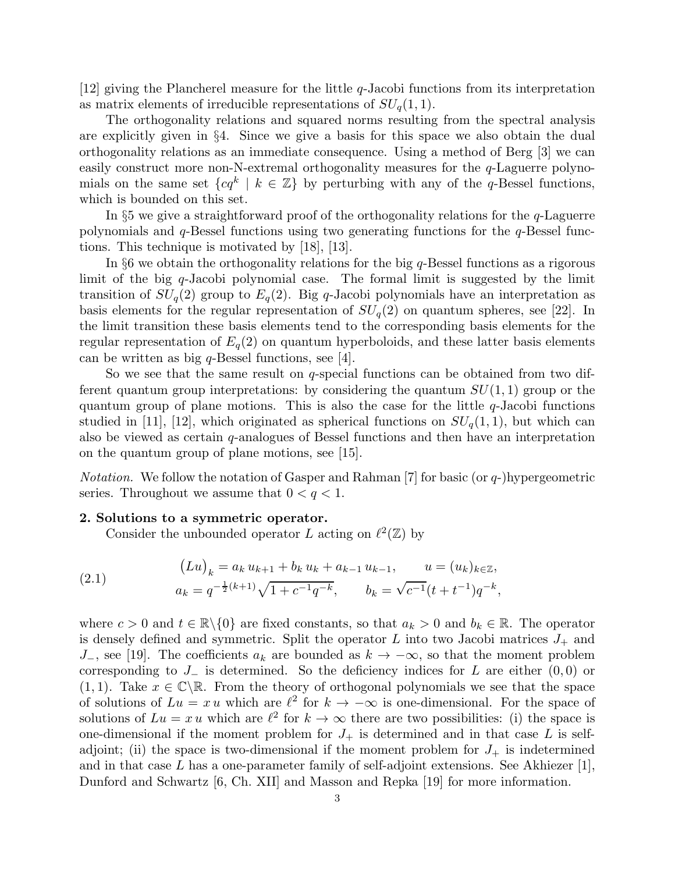$[12]$  giving the Plancherel measure for the little q-Jacobi functions from its interpretation as matrix elements of irreducible representations of  $SU_q(1,1)$ .

The orthogonality relations and squared norms resulting from the spectral analysis are explicitly given in §4. Since we give a basis for this space we also obtain the dual orthogonality relations as an immediate consequence. Using a method of Berg [3] we can easily construct more non-N-extremal orthogonality measures for the q-Laguerre polynomials on the same set  $\{cq^k \mid k \in \mathbb{Z}\}\$  by perturbing with any of the q-Bessel functions, which is bounded on this set.

In  $\S5$  we give a straightforward proof of the orthogonality relations for the q-Laguerre polynomials and  $q$ -Bessel functions using two generating functions for the  $q$ -Bessel functions. This technique is motivated by [18], [13].

In §6 we obtain the orthogonality relations for the big  $q$ -Bessel functions as a rigorous limit of the big  $q$ -Jacobi polynomial case. The formal limit is suggested by the limit transition of  $SU_q(2)$  group to  $E_q(2)$ . Big q-Jacobi polynomials have an interpretation as basis elements for the regular representation of  $SU_q(2)$  on quantum spheres, see [22]. In the limit transition these basis elements tend to the corresponding basis elements for the regular representation of  $E_q(2)$  on quantum hyperboloids, and these latter basis elements can be written as big  $q$ -Bessel functions, see [4].

So we see that the same result on  $q$ -special functions can be obtained from two different quantum group interpretations: by considering the quantum  $SU(1, 1)$  group or the quantum group of plane motions. This is also the case for the little  $q$ -Jacobi functions studied in [11], [12], which originated as spherical functions on  $SU_q(1,1)$ , but which can also be viewed as certain  $q$ -analogues of Bessel functions and then have an interpretation on the quantum group of plane motions, see [15].

*Notation.* We follow the notation of Gasper and Rahman [7] for basic (or q-)hypergeometric series. Throughout we assume that  $0 < q < 1$ .

## 2. Solutions to a symmetric operator.

Consider the unbounded operator L acting on  $\ell^2(\mathbb{Z})$  by

(2.1) 
$$
(L u)_k = a_k u_{k+1} + b_k u_k + a_{k-1} u_{k-1}, \qquad u = (u_k)_{k \in \mathbb{Z}},
$$

$$
a_k = q^{-\frac{1}{2}(k+1)} \sqrt{1 + c^{-1} q^{-k}}, \qquad b_k = \sqrt{c^{-1}} (t + t^{-1}) q^{-k},
$$

where  $c > 0$  and  $t \in \mathbb{R} \setminus \{0\}$  are fixed constants, so that  $a_k > 0$  and  $b_k \in \mathbb{R}$ . The operator is densely defined and symmetric. Split the operator L into two Jacobi matrices  $J_+$  and J<sub>-</sub>, see [19]. The coefficients  $a_k$  are bounded as  $k \to -\infty$ , so that the moment problem corresponding to  $J_-\,$  is determined. So the deficiency indices for L are either  $(0,0)$  or  $(1, 1)$ . Take  $x \in \mathbb{C} \backslash \mathbb{R}$ . From the theory of orthogonal polynomials we see that the space of solutions of  $Lu = x u$  which are  $\ell^2$  for  $k \to -\infty$  is one-dimensional. For the space of solutions of  $Lu = x u$  which are  $\ell^2$  for  $k \to \infty$  there are two possibilities: (i) the space is one-dimensional if the moment problem for  $J_+$  is determined and in that case L is selfadjoint; (ii) the space is two-dimensional if the moment problem for  $J_+$  is indetermined and in that case  $L$  has a one-parameter family of self-adjoint extensions. See Akhiezer [1], Dunford and Schwartz [6, Ch. XII] and Masson and Repka [19] for more information.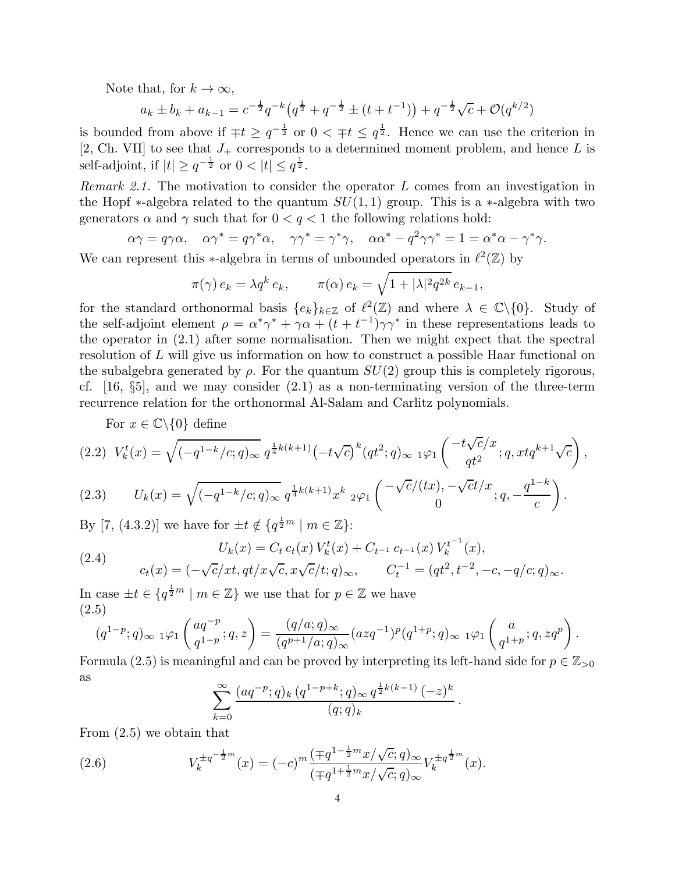Note that, for  $k \to \infty$ ,

$$
a_k \pm b_k + a_{k-1} = c^{-\frac{1}{2}} q^{-k} \left( q^{\frac{1}{2}} + q^{-\frac{1}{2}} \pm (t + t^{-1}) \right) + q^{-\frac{1}{2}} \sqrt{c} + \mathcal{O}(q^{k/2})
$$

is bounded from above if  $\mp t \geq q^{-\frac{1}{2}}$  or  $0 < \mp t \leq q^{\frac{1}{2}}$ . Hence we can use the criterion in [2, Ch. VII] to see that  $J_+$  corresponds to a determined moment problem, and hence L is self-adjoint, if  $|t| \geq q^{-\frac{1}{2}}$  or  $0 < |t| \leq q^{\frac{1}{2}}$ .

*Remark 2.1.* The motivation to consider the operator L comes from an investigation in the Hopf  $\ast$ -algebra related to the quantum  $SU(1, 1)$  group. This is a  $\ast$ -algebra with two generators  $\alpha$  and  $\gamma$  such that for  $0 < q < 1$  the following relations hold:

$$
\alpha \gamma = q \gamma \alpha, \quad \alpha \gamma^* = q \gamma^* \alpha, \quad \gamma \gamma^* = \gamma^* \gamma, \quad \alpha \alpha^* - q^2 \gamma \gamma^* = 1 = \alpha^* \alpha - \gamma^* \gamma.
$$

We can represent this  $\ast$ -algebra in terms of unbounded operators in  $\ell^2(\mathbb{Z})$  by

$$
\pi(\gamma) e_k = \lambda q^k e_k, \qquad \pi(\alpha) e_k = \sqrt{1 + |\lambda|^2 q^{2k}} e_{k-1},
$$

for the standard orthonormal basis  $\{e_k\}_{k\in\mathbb{Z}}$  of  $\ell^2(\mathbb{Z})$  and where  $\lambda \in \mathbb{C}\backslash\{0\}$ . Study of the self-adjoint element  $\rho = \alpha^* \gamma^* + \gamma \alpha + (t + t^{-1}) \gamma \gamma^*$  in these representations leads to the operator in (2.1) after some normalisation. Then we might expect that the spectral resolution of L will give us information on how to construct a possible Haar functional on the subalgebra generated by  $\rho$ . For the quantum  $SU(2)$  group this is completely rigorous, cf.  $[16, \S5]$ , and we may consider  $(2.1)$  as a non-terminating version of the three-term recurrence relation for the orthonormal Al-Salam and Carlitz polynomials.

For  $x \in \mathbb{C} \backslash \{0\}$  define

$$
(2.2) \ V_k^t(x) = \sqrt{(-q^{1-k}/c; q)_{\infty}} \ q^{\frac{1}{4}k(k+1)} (-t\sqrt{c})^k (qt^2; q)_{\infty} \ _{1}\varphi_1 \left(\begin{array}{c} -t\sqrt{c}/x \\ qt^2 \end{array}; q, xtq^{k+1}\sqrt{c}\right),
$$

(2.3) 
$$
U_k(x) = \sqrt{(-q^{1-k}/c;q)_\infty} q^{\frac{1}{4}k(k+1)} x^k \, 2\varphi_1 \begin{pmatrix} -\sqrt{c}/(tx), -\sqrt{c}t/x \\ 0, & \end{pmatrix}.
$$

By [7, (4.3.2)] we have for  $\pm t \notin \{q^{\frac{1}{2}m} \mid m \in \mathbb{Z}\}\$ :

(2.4) 
$$
U_k(x) = C_t c_t(x) V_k^t(x) + C_{t^{-1}} c_{t^{-1}}(x) V_k^{t^{-1}}(x),
$$

$$
c_t(x) = (-\sqrt{c}/xt, qt/x\sqrt{c}, x\sqrt{c}/t; q)_{\infty}, \qquad C_t^{-1} = (qt^2, t^{-2}, -c, -q/c; q)_{\infty}.
$$

In case  $\pm t \in \{q^{\frac{1}{2}m} \mid m \in \mathbb{Z}\}$  we use that for  $p \in \mathbb{Z}$  we have (2.5)

$$
(q^{1-p};q)_{\infty} \ _{1}\varphi_{1}\left(\begin{matrix} aq^{-p} \\ q^{1-p} \end{matrix};q,z\right) = \frac{(q/a;q)_{\infty}}{(q^{p+1}/a;q)_{\infty}}(azq^{-1})^{p}(q^{1+p};q)_{\infty} \ _{1}\varphi_{1}\left(\begin{matrix} a \\ q^{1+p} \end{matrix};q,zq^{p}\right).
$$

Formula (2.5) is meaningful and can be proved by interpreting its left-hand side for  $p \in \mathbb{Z}_{\geq 0}$ as 1

$$
\sum_{k=0}^{\infty} \frac{(aq^{-p};q)_k (q^{1-p+k};q)_{\infty} q^{\frac{1}{2}k(k-1)} (-z)^k}{(q;q)_k}.
$$

From (2.5) we obtain that

(2.6) 
$$
V_k^{\pm q^{-\frac{1}{2}m}}(x) = (-c)^m \frac{(\mp q^{1-\frac{1}{2}m} x/\sqrt{c}; q)_{\infty}}{(\mp q^{1+\frac{1}{2}m} x/\sqrt{c}; q)_{\infty}} V_k^{\pm q^{\frac{1}{2}m}}(x).
$$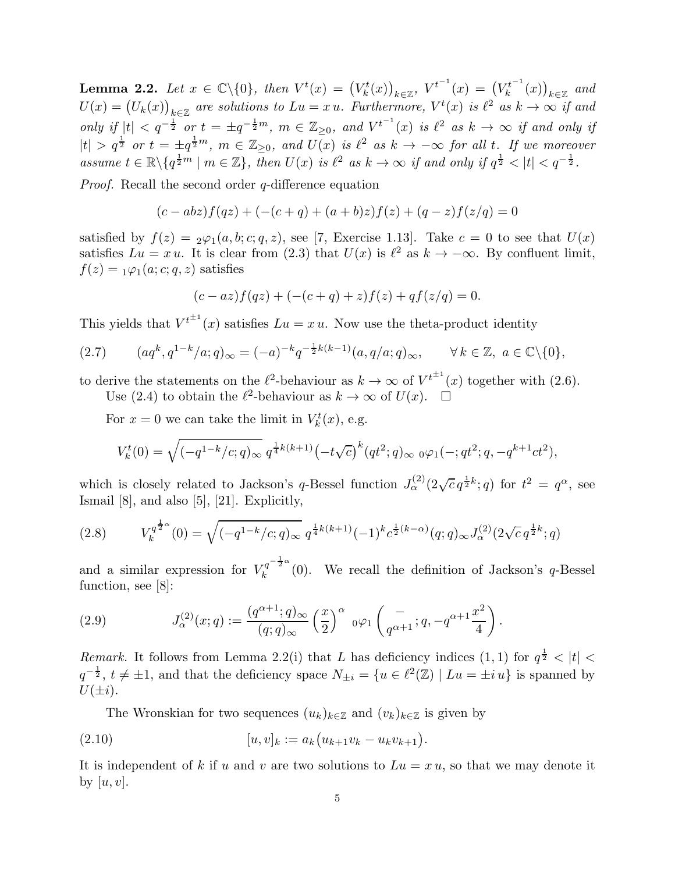**Lemma 2.2.** Let  $x \in \mathbb{C} \setminus \{0\}$ , then  $V^t(x) = (V^t_k(x))_{k \in \mathbb{Z}}$ ,  $V^{t^{-1}}(x) = (V^{t^{-1}}_k(x))_{k \in \mathbb{Z}}$  $\binom{k^{t-1}}{k}(x)\big)_{k\in\mathbb{Z}}$  and  $U(x) = (U_k(x))_{k \in \mathbb{Z}}$  are solutions to  $Lu = x u$ . Furthermore,  $V^t(x)$  is  $\ell^2$  as  $k \to \infty$  if and  $\text{only if } |t| < q^{-\frac{1}{2}} \text{ or } t = \pm q^{-\frac{1}{2}m}, \ m \in \mathbb{Z}_{\geq 0}, \ \text{and } V^{t^{-1}}(x) \ \text{is } \ell^2 \ \text{as } k \to \infty \text{ if and only if } t \geq 0.$  $|t| > q^{\frac{1}{2}}$  or  $t = \pm q^{\frac{1}{2}m}$ ,  $m \in \mathbb{Z}_{\geq 0}$ , and  $\overline{U(x)}$  is  $\ell^2$  as  $k \to -\infty$  for all t. If we moreover *assume*  $t \in \mathbb{R} \setminus \{q^{\frac{1}{2}m} \mid m \in \mathbb{Z}\},\$  *then*  $U(x)$  *is*  $\ell^2$  *as*  $k \to \infty$  *if and only if*  $q^{\frac{1}{2}} < |t| < q^{-\frac{1}{2}}.$ 

*Proof.* Recall the second order *q*-difference equation

$$
(c - abz)f(qz) + (-(c + q) + (a + b)z)f(z) + (q - z)f(z/q) = 0
$$

satisfied by  $f(z) = 2\varphi_1(a, b; c; q, z)$ , see [7, Exercise 1.13]. Take  $c = 0$  to see that  $U(x)$ satisfies  $Lu = x u$ . It is clear from (2.3) that  $U(x)$  is  $\ell^2$  as  $k \to -\infty$ . By confluent limit,  $f(z) = \sqrt{1/(a;c;q,z)}$  satisfies

$$
(c - az)f(qz) + (-(c + q) + z)f(z) + qf(z/q) = 0.
$$

This yields that  $V^{t^{\pm 1}}(x)$  satisfies  $Lu = xu$ . Now use the theta-product identity

$$
(2.7) \qquad (aq^k, q^{1-k}/a; q)_{\infty} = (-a)^{-k} q^{-\frac{1}{2}k(k-1)} (a, q/a; q)_{\infty}, \qquad \forall k \in \mathbb{Z}, \ a \in \mathbb{C} \setminus \{0\},
$$

to derive the statements on the  $\ell^2$ -behaviour as  $k \to \infty$  of  $V^{t^{\pm 1}}(x)$  together with (2.6). Use (2.4) to obtain the  $\ell^2$ -behaviour as  $k \to \infty$  of  $U(x)$ .  $\Box$ 

For  $x = 0$  we can take the limit in  $V_k^t(x)$ , e.g.

$$
V_k^t(0) = \sqrt{(-q^{1-k}/c;q)_\infty} q^{\frac{1}{4}k(k+1)} (-t\sqrt{c})^k (qt^2;q)_\infty \ {}_0\varphi_1(-;qt^2;q,-q^{k+1}ct^2),
$$

which is closely related to Jackson's q-Bessel function  $J_{\alpha}^{(2)}(2\sqrt{c} q^{\frac{1}{2}k};q)$  for  $t^2 = q^{\alpha}$ , see Ismail [8], and also [5], [21]. Explicitly,

$$
(2.8) \tV_k^{q^{\frac{1}{2}\alpha}}(0) = \sqrt{(-q^{1-k}/c;q)_{\infty}} q^{\frac{1}{4}k(k+1)} (-1)^k c^{\frac{1}{2}(k-\alpha)}(q;q)_{\infty} J_{\alpha}^{(2)}(2\sqrt{c} q^{\frac{1}{2}k};q)
$$

and a similar expression for  $V_k^{q^{-\frac{1}{2}\alpha}}$  $\kappa^{q-2}$  (0). We recall the definition of Jackson's q-Bessel function, see [8]:

(2.9) 
$$
J_{\alpha}^{(2)}(x;q) := \frac{(q^{\alpha+1};q)_{\infty}}{(q;q)_{\infty}} \left(\frac{x}{2}\right)^{\alpha} {}_{0}\varphi_{1} \left(\frac{-}{q^{\alpha+1}};q,-q^{\alpha+1}\frac{x^{2}}{4}\right).
$$

*Remark.* It follows from Lemma 2.2(i) that L has deficiency indices  $(1,1)$  for  $q^{\frac{1}{2}} < |t| <$  $q^{-\frac{1}{2}}, t \neq \pm 1$ , and that the deficiency space  $N_{\pm i} = \{u \in \ell^2(\mathbb{Z}) \mid Lu = \pm i u\}$  is spanned by  $U(\pm i)$ .

The Wronskian for two sequences  $(u_k)_{k\in\mathbb{Z}}$  and  $(v_k)_{k\in\mathbb{Z}}$  is given by

(2.10) 
$$
[u, v]_k := a_k (u_{k+1}v_k - u_kv_{k+1}).
$$

It is independent of k if u and v are two solutions to  $Lu = xu$ , so that we may denote it by  $[u, v]$ .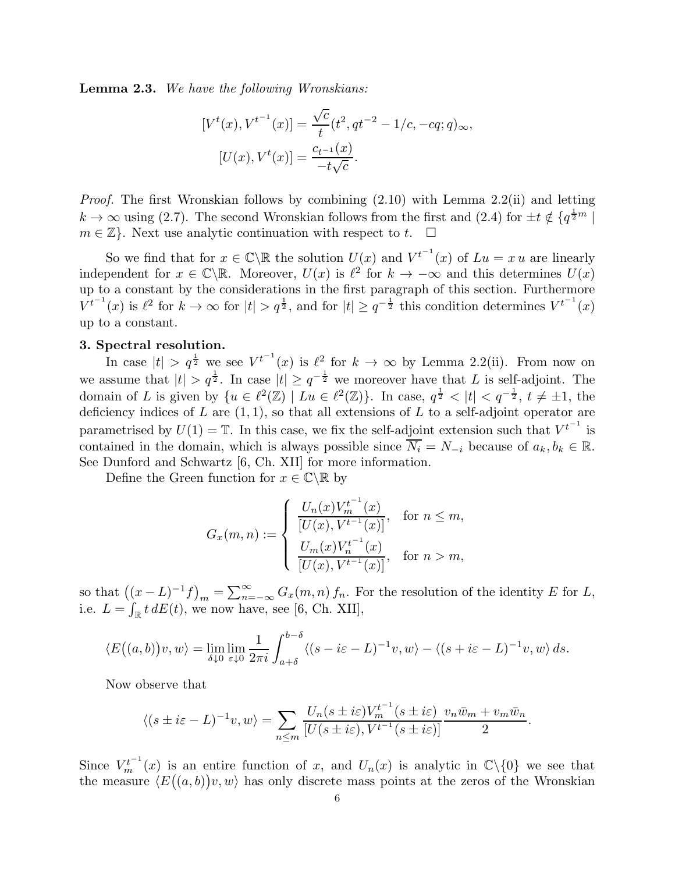Lemma 2.3. *We have the following Wronskians:*

$$
[V^t(x), V^{t^{-1}}(x)] = \frac{\sqrt{c}}{t}(t^2, qt^{-2} - 1/c, -cq; q)_{\infty},
$$

$$
[U(x), V^t(x)] = \frac{c_{t^{-1}}(x)}{-t\sqrt{c}}.
$$

*Proof.* The first Wronskian follows by combining (2.10) with Lemma 2.2(ii) and letting  $k \to \infty$  using (2.7). The second Wronskian follows from the first and (2.4) for  $\pm t \notin \{q^{\frac{1}{2}m} \mid$  $m \in \mathbb{Z}$ . Next use analytic continuation with respect to t.  $\square$ 

So we find that for  $x \in \mathbb{C} \setminus \mathbb{R}$  the solution  $U(x)$  and  $V^{t-1}(x)$  of  $Lu = x u$  are linearly independent for  $x \in \mathbb{C} \backslash \mathbb{R}$ . Moreover,  $U(x)$  is  $\ell^2$  for  $k \to -\infty$  and this determines  $U(x)$ up to a constant by the considerations in the first paragraph of this section. Furthermore  $V^{t^{-1}}(x)$  is  $\ell^2$  for  $k \to \infty$  for  $|t| > q^{\frac{1}{2}}$ , and for  $|t| \geq q^{-\frac{1}{2}}$  this condition determines  $V^{t^{-1}}(x)$ up to a constant.

## 3. Spectral resolution.

In case  $|t| > q^{\frac{1}{2}}$  we see  $V^{t^{-1}}(x)$  is  $\ell^2$  for  $k \to \infty$  by Lemma 2.2(ii). From now on we assume that  $|t| > q^{\frac{1}{2}}$ . In case  $|t| \geq q^{-\frac{1}{2}}$  we moreover have that L is self-adjoint. The domain of L is given by  $\{u \in \ell^2(\mathbb{Z}) \mid Lu \in \ell^2(\mathbb{Z})\}$ . In case,  $q^{\frac{1}{2}} < |t| < q^{-\frac{1}{2}}$ ,  $t \neq \pm 1$ , the deficiency indices of L are  $(1, 1)$ , so that all extensions of L to a self-adjoint operator are parametrised by  $U(1) = \mathbb{T}$ . In this case, we fix the self-adjoint extension such that  $V^{t^{-1}}$  is contained in the domain, which is always possible since  $\overline{N_i} = N_{-i}$  because of  $a_k, b_k \in \mathbb{R}$ . See Dunford and Schwartz [6, Ch. XII] for more information.

Define the Green function for  $x \in \mathbb{C} \backslash \mathbb{R}$  by

$$
G_x(m, n) := \begin{cases} \frac{U_n(x)V_m^{t^{-1}}(x)}{[U(x), V^{t^{-1}}(x)]}, & \text{for } n \le m, \\ \frac{U_m(x)V_n^{t^{-1}}(x)}{[U(x), V^{t^{-1}}(x)]}, & \text{for } n > m, \end{cases}
$$

so that  $((x - L)^{-1}f)_m = \sum_{n=-\infty}^{\infty} G_x(m, n) f_n$ . For the resolution of the identity E for L, i.e.  $L = \int_{\mathbb{R}} t \, dE(t)$ , we now have, see [6, Ch. XII],

$$
\langle E\big((a,b)\big)v,w\rangle = \lim_{\delta\downarrow 0} \lim_{\varepsilon\downarrow 0} \frac{1}{2\pi i} \int_{a+\delta}^{b-\delta} \langle (s-i\varepsilon-L)^{-1}v,w\rangle - \langle (s+i\varepsilon-L)^{-1}v,w\rangle ds.
$$

Now observe that

$$
\langle (s \pm i\varepsilon - L)^{-1} v, w \rangle = \sum_{n \le m} \frac{U_n(s \pm i\varepsilon) V_m^{t^{-1}}(s \pm i\varepsilon)}{[U(s \pm i\varepsilon), V^{t^{-1}}(s \pm i\varepsilon)]} \frac{v_n \bar{w}_m + v_m \bar{w}_n}{2}.
$$

Since  $V_m^{t^{-1}}(x)$  is an entire function of x, and  $U_n(x)$  is analytic in  $\mathbb{C}\backslash\{0\}$  we see that the measure  $\langle E((a, b))v, w \rangle$  has only discrete mass points at the zeros of the Wronskian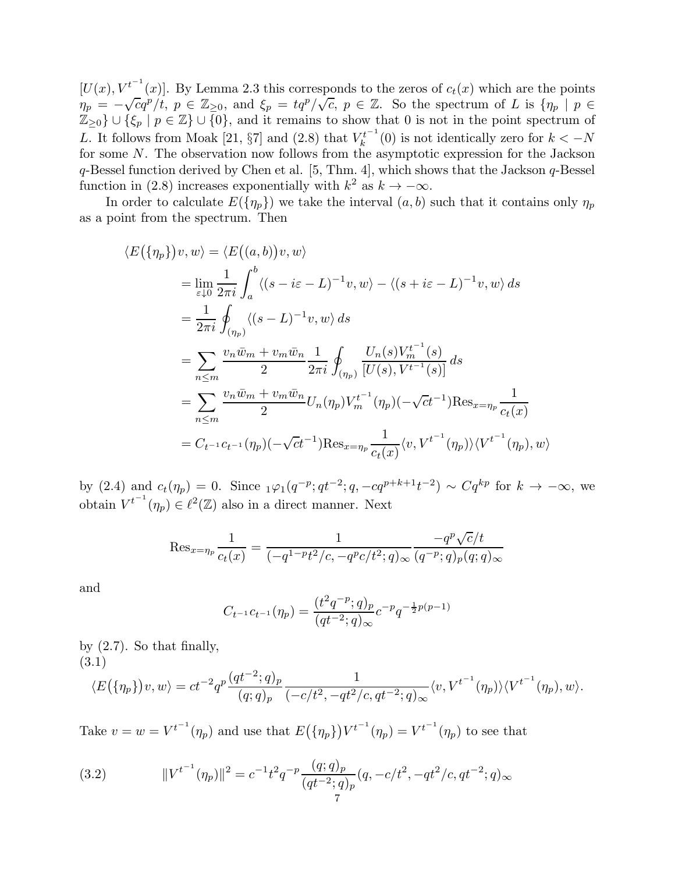$[U(x), V^{t^{-1}}(x)]$ . By Lemma 2.3 this corresponds to the zeros of  $c_t(x)$  which are the points  $\eta_p = -\sqrt{c}q^p/t, p \in \mathbb{Z}_{\geq 0}$ , and  $\xi_p = \frac{tq^p}{\sqrt{c}}, p \in \mathbb{Z}$ . So the spectrum of L is  $\{\eta_p \mid p \in \mathbb{Z}_{\geq 0}\}$  $\mathbb{Z}_{\geq 0}\}\cup \{\xi_p\mid p\in \mathbb{Z}\}\cup \{0\}$ , and it remains to show that 0 is not in the point spectrum of L. It follows from Moak [21,  $\S7$ ] and (2.8) that  $V_k^{t^{-1}}$  $\mathcal{K}_k^{t-1}(0)$  is not identically zero for  $k < -N$ for some N. The observation now follows from the asymptotic expression for the Jackson  $q$ -Bessel function derived by Chen et al. [5, Thm. 4], which shows that the Jackson  $q$ -Bessel function in (2.8) increases exponentially with  $k^2$  as  $k \to -\infty$ .

In order to calculate  $E(\{\eta_p\})$  we take the interval  $(a, b)$  such that it contains only  $\eta_p$ as a point from the spectrum. Then

$$
\langle E(\{\eta_p\})v, w \rangle = \langle E((a, b))v, w \rangle
$$
  
\n
$$
= \lim_{\varepsilon \downarrow 0} \frac{1}{2\pi i} \int_a^b \langle (s - i\varepsilon - L)^{-1}v, w \rangle - \langle (s + i\varepsilon - L)^{-1}v, w \rangle ds
$$
  
\n
$$
= \frac{1}{2\pi i} \oint_{(\eta_p)} \langle (s - L)^{-1}v, w \rangle ds
$$
  
\n
$$
= \sum_{n \le m} \frac{v_n \bar{w}_m + v_m \bar{w}_n}{2} \frac{1}{2\pi i} \oint_{(\eta_p)} \frac{U_n(s)V_n^{t^{-1}}(s)}{[U(s), V^{t^{-1}}(s)]} ds
$$
  
\n
$$
= \sum_{n \le m} \frac{v_n \bar{w}_m + v_m \bar{w}_n}{2} U_n(\eta_p) V_m^{t^{-1}}(\eta_p) (-\sqrt{c}t^{-1}) \text{Res}_{x = \eta_p} \frac{1}{c_t(x)}
$$
  
\n
$$
= C_{t^{-1}} c_{t^{-1}}(\eta_p) (-\sqrt{c}t^{-1}) \text{Res}_{x = \eta_p} \frac{1}{c_t(x)} \langle v, V^{t^{-1}}(\eta_p) \rangle \langle V^{t^{-1}}(\eta_p), w \rangle
$$

by (2.4) and  $c_t(\eta_p) = 0$ . Since  $_1\varphi_1(q^{-p}; qt^{-2}; q, -cq^{p+k+1}t^{-2}) \sim Cq^{kp}$  for  $k \to -\infty$ , we obtain  $V^{t^{-1}}(\eta_p) \in \ell^2(\mathbb{Z})$  also in a direct manner. Next

$$
\operatorname{Res}_{x=\eta_p} \frac{1}{c_t(x)} = \frac{1}{(-q^{1-p}t^2/c, -q^p c/t^2; q)_{\infty}} \frac{-q^p \sqrt{c}/t}{(q^{-p}; q)_p (q; q)_{\infty}}
$$

and

$$
C_{t^{-1}}c_{t^{-1}}(\eta_p) = \frac{(t^2q^{-p};q)_p}{(qt^{-2};q)_\infty}c^{-p}q^{-\frac{1}{2}p(p-1)}
$$

by (2.7). So that finally, (3.1)

$$
\langle E(\{\eta_p\})v, w \rangle = ct^{-2}q^p \frac{(qt^{-2};q)_p}{(q;q)_p} \frac{1}{(-c/t^2, -qt^2/c, qt^{-2};q)_{\infty}} \langle v, V^{t^{-1}}(\eta_p) \rangle \langle V^{t^{-1}}(\eta_p), w \rangle.
$$

Take  $v = w = V^{t^{-1}}(\eta_p)$  and use that  $E(\{\eta_p\})V^{t^{-1}}(\eta_p) = V^{t^{-1}}(\eta_p)$  to see that

(3.2) 
$$
||V^{t^{-1}}(\eta_p)||^2 = c^{-1}t^2q^{-p}\frac{(q;q)_p}{(qt^{-2};q)_p}(q,-c/t^2,-qt^2/c,qt^{-2};q)_{\infty}
$$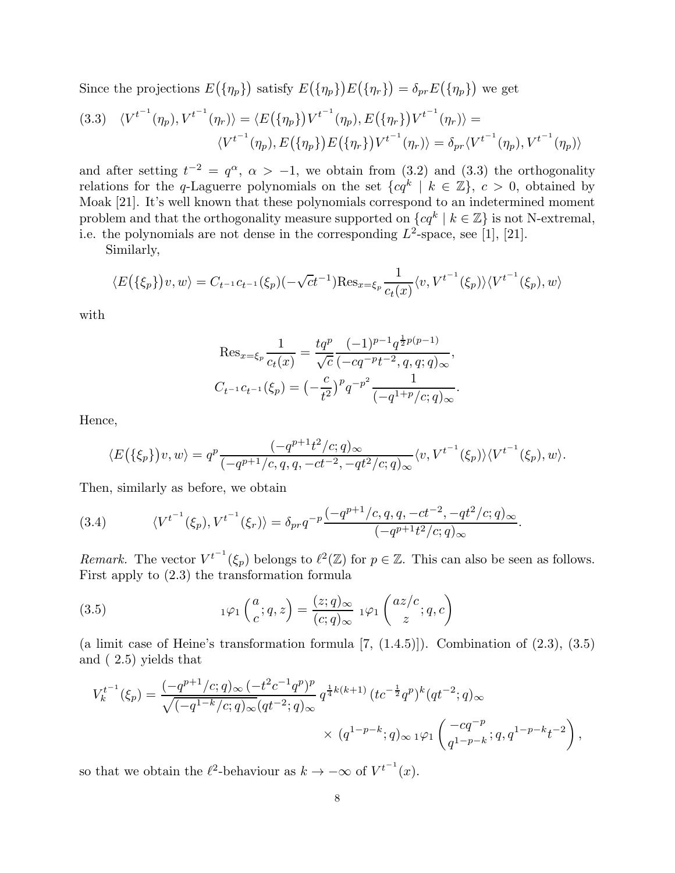Since the projections  $E(\{\eta_p\})$  satisfy  $E(\{\eta_p\})E(\{\eta_r\}) = \delta_{pr}E(\{\eta_p\})$  we get

$$
(3.3) \quad \langle V^{t^{-1}}(\eta_p), V^{t^{-1}}(\eta_r) \rangle = \langle E(\{\eta_p\}) V^{t^{-1}}(\eta_p), E(\{\eta_r\}) V^{t^{-1}}(\eta_r) \rangle = \langle V^{t^{-1}}(\eta_p), E(\{\eta_p\}) E(\{\eta_r\}) V^{t^{-1}}(\eta_r) \rangle = \delta_{pr} \langle V^{t^{-1}}(\eta_p), V^{t^{-1}}(\eta_p) \rangle
$$

and after setting  $t^{-2} = q^{\alpha}, \ \alpha > -1$ , we obtain from (3.2) and (3.3) the orthogonality relations for the q-Laguerre polynomials on the set  $\{cq^k \mid k \in \mathbb{Z}\}, c > 0$ , obtained by Moak [21]. It's well known that these polynomials correspond to an indetermined moment problem and that the orthogonality measure supported on  $\{cq^k \mid k \in \mathbb{Z}\}\)$  is not N-extremal, i.e. the polynomials are not dense in the corresponding  $L^2$ -space, see [1], [21].

Similarly,

$$
\langle E(\{\xi_p\})v, w \rangle = C_{t^{-1}}c_{t^{-1}}(\xi_p)(-\sqrt{c}t^{-1})\operatorname{Res}_{x=\xi_p} \frac{1}{c_t(x)} \langle v, V^{t^{-1}}(\xi_p) \rangle \langle V^{t^{-1}}(\xi_p), w \rangle
$$

with

Res<sub>x=\xi\_p</sub> 
$$
\frac{1}{c_t(x)} = \frac{tq^p}{\sqrt{c}} \frac{(-1)^{p-1} q^{\frac{1}{2}p(p-1)}}{(-cq^{-p}t^{-2}, q, q; q)_{\infty}},
$$
  

$$
C_{t^{-1}}c_{t^{-1}}(\xi_p) = \left(-\frac{c}{t^2}\right)^p q^{-p^2} \frac{1}{(-q^{1+p}/c; q)_{\infty}}.
$$

Hence,

$$
\langle E(\{\xi_p\})v, w \rangle = q^p \frac{(-q^{p+1}t^2/c; q)_{\infty}}{(-q^{p+1}/c, q, q, -ct^{-2}, -qt^2/c; q)_{\infty}} \langle v, V^{t^{-1}}(\xi_p) \rangle \langle V^{t^{-1}}(\xi_p), w \rangle.
$$

Then, similarly as before, we obtain

(3.4) 
$$
\langle V^{t^{-1}}(\xi_p), V^{t^{-1}}(\xi_r) \rangle = \delta_{pr} q^{-p} \frac{(-q^{p+1}/c, q, q, -ct^{-2}, -qt^2/c; q)_{\infty}}{(-q^{p+1}t^2/c; q)_{\infty}}.
$$

*Remark.* The vector  $V^{t^{-1}}(\xi_p)$  belongs to  $\ell^2(\mathbb{Z})$  for  $p \in \mathbb{Z}$ . This can also be seen as follows. First apply to (2.3) the transformation formula

(3.5) 
$$
{}_{1}\varphi_{1}\left(\frac{a}{c};q,z\right) = \frac{(z;q)_{\infty}}{(c;q)_{\infty}} \; {}_{1}\varphi_{1}\left(\frac{az/c}{z};q,c\right)
$$

(a limit case of Heine's transformation formula  $[7, (1.4.5)]$ ). Combination of  $(2.3), (3.5)$ and ( 2.5) yields that

$$
V_k^{t^{-1}}(\xi_p) = \frac{(-q^{p+1}/c;q)_{\infty} (-t^2 c^{-1} q^p)^p}{\sqrt{(-q^{1-k}/c;q)_{\infty}} (qt^{-2};q)_{\infty}} q^{\frac{1}{4}k(k+1)} (tc^{-\frac{1}{2}} q^p)^k (qt^{-2};q)_{\infty}
$$
  
\$\times (q^{1-p-k};q)\_{\infty} \times q^{1-p-k};q\_{\infty} \times (q^{1-p-k};q)\_{\infty} \times q^{1-p-k};q,q^{1-p-k}t^{-2}\$},

so that we obtain the  $\ell^2$ -behaviour as  $k \to -\infty$  of  $V^{t^{-1}}(x)$ .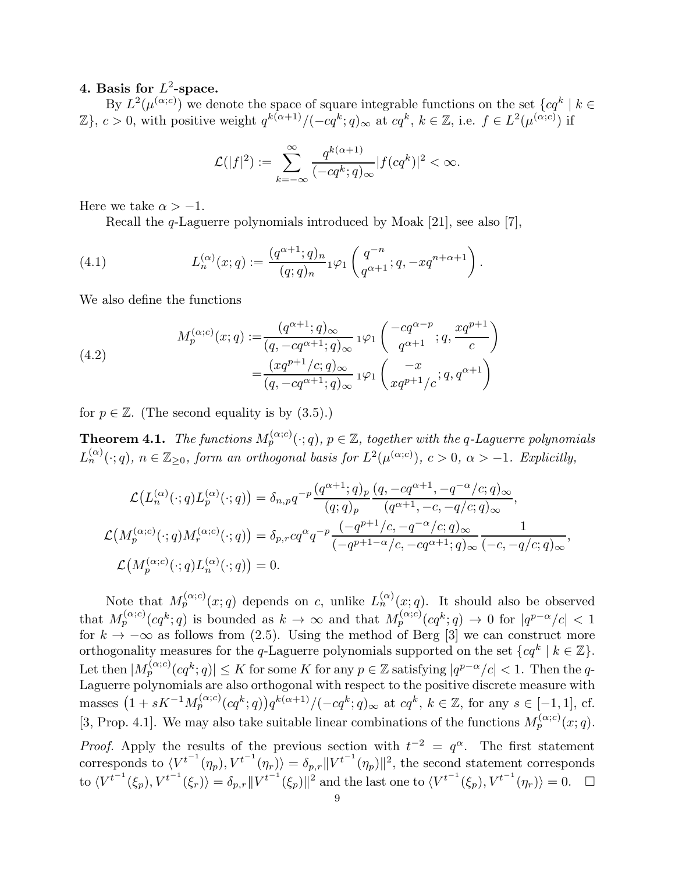## 4. Basis for  $L^2$ -space.

By  $L^2(\mu^{(\alpha;c)})$  we denote the space of square integrable functions on the set  $\{cq^k \mid k \in \mathbb{Z}\}$  $\mathbb{Z}$ ,  $c > 0$ , with positive weight  $q^{k(\alpha+1)} / (-cq^k; q)_{\infty}$  at  $cq^k$ ,  $k \in \mathbb{Z}$ , i.e.  $f \in L^2(\mu^{(\alpha;c)})$  if

$$
\mathcal{L}(|f|^2) := \sum_{k=-\infty}^{\infty} \frac{q^{k(\alpha+1)}}{(-cq^k;q)_{\infty}} |f(cq^k)|^2 < \infty.
$$

Here we take  $\alpha > -1$ .

Recall the q-Laguerre polynomials introduced by Moak [21], see also [7],

(4.1) 
$$
L_n^{(\alpha)}(x;q) := \frac{(q^{\alpha+1};q)_n}{(q;q)_n} 1^{\varphi_1} \left( \frac{q^{-n}}{q^{\alpha+1}}; q, -xq^{n+\alpha+1} \right).
$$

We also define the functions

(4.2)  

$$
M_p^{(\alpha;c)}(x;q) := \frac{(q^{\alpha+1};q)_{\infty}}{(q, -cq^{\alpha+1};q)_{\infty}} 1^{\varphi_1} \left( \frac{-cq^{\alpha-p}}{q^{\alpha+1}}; q, \frac{xq^{p+1}}{c} \right)
$$

$$
= \frac{(xq^{p+1}/c;q)_{\infty}}{(q, -cq^{\alpha+1};q)_{\infty}} 1^{\varphi_1} \left( \frac{-x}{xq^{p+1}/c}; q, q^{\alpha+1} \right)
$$

for  $p \in \mathbb{Z}$ . (The second equality is by  $(3.5)$ .)

**Theorem 4.1.** The functions  $M_p^{(\alpha;c)}(\cdot;q)$ ,  $p \in \mathbb{Z}$ , together with the q-Laguerre polynomials  $L_n^{(\alpha)}(\cdot;q)$ ,  $n \in \mathbb{Z}_{\geq 0}$ , form an orthogonal basis for  $L^2(\mu^{(\alpha;c)})$ ,  $c > 0$ ,  $\alpha > -1$ . Explicitly,

$$
\mathcal{L}\left(L_n^{(\alpha)}(\cdot;q)L_p^{(\alpha)}(\cdot;q)\right) = \delta_{n,p}q^{-p}\frac{(q^{\alpha+1};q)_p}{(q;q)_p}\frac{(q,-cq^{\alpha+1},-q^{-\alpha}/c;q)_{\infty}}{(q^{\alpha+1},-c,-q/c;q)_{\infty}},
$$
  

$$
\mathcal{L}\left(M_p^{(\alpha;c)}(\cdot;q)M_r^{(\alpha;c)}(\cdot;q)\right) = \delta_{p,r}cq^{\alpha}q^{-p}\frac{(-q^{p+1}/c,-q^{-\alpha}/c;q)_{\infty}}{(-q^{p+1-\alpha}/c,-cq^{\alpha+1};q)_{\infty}}\frac{1}{(-c,-q/c;q)_{\infty}},
$$
  

$$
\mathcal{L}\left(M_p^{(\alpha;c)}(\cdot;q)L_n^{(\alpha)}(\cdot;q)\right) = 0.
$$

Note that  $M_p^{(\alpha;c)}(x;q)$  depends on c, unlike  $L_n^{(\alpha)}(x;q)$ . It should also be observed that  $M_p^{(\alpha;c)}(cq^k;q)$  is bounded as  $k \to \infty$  and that  $M_p^{(\alpha;c)}(cq^k;q) \to 0$  for  $|q^{p-\alpha}/c| < 1$ for  $k \to -\infty$  as follows from (2.5). Using the method of Berg [3] we can construct more orthogonality measures for the q-Laguerre polynomials supported on the set  $\{cq^k \mid k \in \mathbb{Z}\}\.$ Let then  $|M_p^{(\alpha;c)}(cq^k;q)| \leq K$  for some K for any  $p \in \mathbb{Z}$  satisfying  $|q^{p-\alpha}/c| < 1$ . Then the q-Laguerre polynomials are also orthogonal with respect to the positive discrete measure with masses  $(1 + sK^{-1}M_p^{(\alpha;c)}(cq^k;q))q^{k(\alpha+1)} / (-cq^k;q)_{\infty}$  at  $cq^k$ ,  $k \in \mathbb{Z}$ , for any  $s \in [-1,1]$ , cf. [3, Prop. 4.1]. We may also take suitable linear combinations of the functions  $M_p^{(\alpha;c)}(x;q)$ . *Proof.* Apply the results of the previous section with  $t^{-2} = q^{\alpha}$ . The first statement corresponds to  $\langle V^{t^{-1}}(\eta_p), V^{t^{-1}}(\eta_r) \rangle = \delta_{p,r} ||V^{t^{-1}}(\eta_p)||^2$ , the second statement corresponds to  $\langle V^{t^{-1}}(\xi_p), V^{t^{-1}}(\xi_r)\rangle = \delta_{p,r} ||V^{t^{-1}}(\xi_p)||^2$  and the last one to  $\langle V^{t^{-1}}(\xi_p), V^{t^{-1}}(\eta_r)\rangle = 0$ .  $\Box$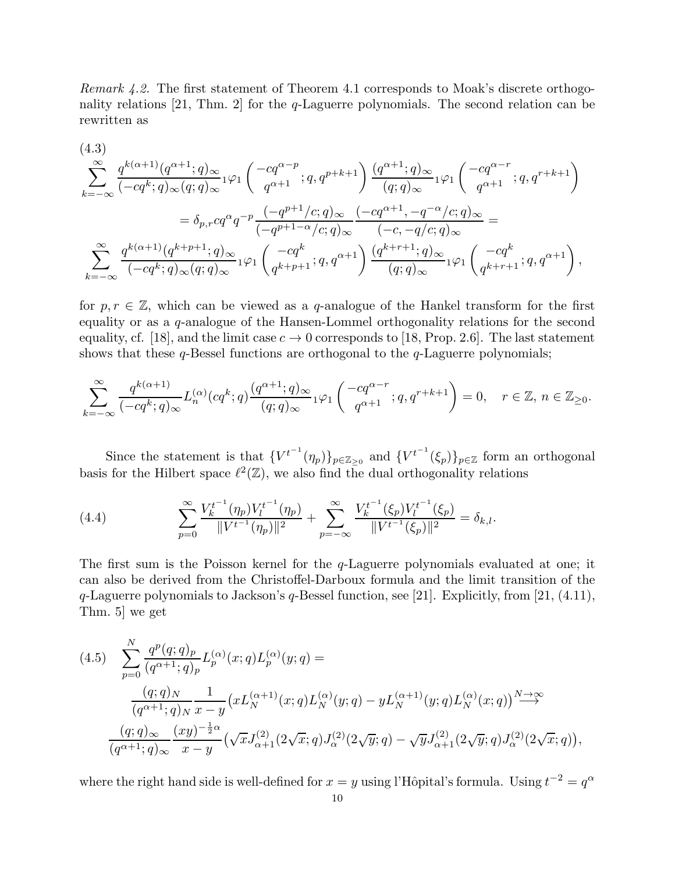*Remark 4.2.* The first statement of Theorem 4.1 corresponds to Moak's discrete orthogonality relations [21, Thm. 2] for the q-Laguerre polynomials. The second relation can be rewritten as

$$
(4.3)
$$
\n
$$
\sum_{k=-\infty}^{\infty} \frac{q^{k(\alpha+1)}(q^{\alpha+1};q)_{\infty}}{(-cq^k;q)_{\infty}(q;q)_{\infty}} {}_{1}\varphi_{1}\left(\frac{-cq^{\alpha-p}}{q^{\alpha+1}};q,q^{p+k+1}\right) \frac{(q^{\alpha+1};q)_{\infty}}{(q;q)_{\infty}} {}_{1}\varphi_{1}\left(\frac{-cq^{\alpha-r}}{q^{\alpha+1}};q,q^{r+k+1}\right)
$$
\n
$$
= \delta_{p,r}cq^{\alpha}q^{-p} \frac{(-q^{p+1}/c;q)_{\infty}}{(-q^{p+1-\alpha}/c;q)_{\infty}} \frac{(-cq^{\alpha+1},-q^{-\alpha}/c;q)_{\infty}}{(-c,-q/c;q)_{\infty}} =
$$
\n
$$
\sum_{k=-\infty}^{\infty} \frac{q^{k(\alpha+1)}(q^{k+p+1};q)_{\infty}}{(-cq^k;q)_{\infty}} {}_{1}\varphi_{1}\left(\frac{-cq^k}{q^{k+p+1}};q,q^{\alpha+1}\right) \frac{(q^{k+r+1};q)_{\infty}}{(q;q)_{\infty}} {}_{1}\varphi_{1}\left(\frac{-cq^k}{q^{k+r+1}};q,q^{\alpha+1}\right),
$$

for  $p, r \in \mathbb{Z}$ , which can be viewed as a q-analogue of the Hankel transform for the first equality or as a q-analogue of the Hansen-Lommel orthogonality relations for the second equality, cf. [18], and the limit case  $c \to 0$  corresponds to [18, Prop. 2.6]. The last statement shows that these  $q$ -Bessel functions are orthogonal to the  $q$ -Laguerre polynomials;

$$
\sum_{k=-\infty}^{\infty} \frac{q^{k(\alpha+1)}}{(-cq^k;q)_{\infty}} L_n^{(\alpha)}(cq^k;q) \frac{(q^{\alpha+1};q)_{\infty}}{(q;q)_{\infty}} 1^{\varphi_1} \left( \frac{-cq^{\alpha-r}}{q^{\alpha+1}};q,q^{r+k+1} \right) = 0, \quad r \in \mathbb{Z}, n \in \mathbb{Z}_{\geq 0}.
$$

Since the statement is that  ${V^{t}}^{-1}(\eta_p)_{p \in \mathbb{Z}_{\geq 0}}$  and  ${V^{t}}^{-1}(\xi_p)_{p \in \mathbb{Z}}$  form an orthogonal basis for the Hilbert space  $\ell^2(\mathbb{Z})$ , we also find the dual orthogonality relations

(4.4) 
$$
\sum_{p=0}^{\infty} \frac{V_k^{t^{-1}}(\eta_p)V_l^{t^{-1}}(\eta_p)}{\|V^{t^{-1}}(\eta_p)\|^2} + \sum_{p=-\infty}^{\infty} \frac{V_k^{t^{-1}}(\xi_p)V_l^{t^{-1}}(\xi_p)}{\|V^{t^{-1}}(\xi_p)\|^2} = \delta_{k,l}.
$$

The first sum is the Poisson kernel for the  $q$ -Laguerre polynomials evaluated at one; it can also be derived from the Christoffel-Darboux formula and the limit transition of the q-Laguerre polynomials to Jackson's q-Bessel function, see [21]. Explicitly, from [21, (4.11), Thm. 5] we get

$$
(4.5) \sum_{p=0}^{N} \frac{q^{p}(q;q)_{p}}{(q^{\alpha+1};q)_{p}} L_{p}^{(\alpha)}(x;q) L_{p}^{(\alpha)}(y;q) =
$$
  

$$
\frac{(q;q)_{N}}{(q^{\alpha+1};q)_{N}} \frac{1}{x-y} \left( x L_{N}^{(\alpha+1)}(x;q) L_{N}^{(\alpha)}(y;q) - y L_{N}^{(\alpha+1)}(y;q) L_{N}^{(\alpha)}(x;q) \right) \stackrel{N \to \infty}{\longrightarrow}
$$
  

$$
\frac{(q;q)_{\infty}}{(q^{\alpha+1};q)_{\infty}} \frac{(xy)^{-\frac{1}{2}\alpha}}{x-y} \left( \sqrt{x} J_{\alpha+1}^{(2)}(2\sqrt{x};q) J_{\alpha}^{(2)}(2\sqrt{y};q) - \sqrt{y} J_{\alpha+1}^{(2)}(2\sqrt{y};q) J_{\alpha}^{(2)}(2\sqrt{x};q) \right),
$$

where the right hand side is well-defined for  $x = y$  using l'Hôpital's formula. Using  $t^{-2} = q^{\alpha}$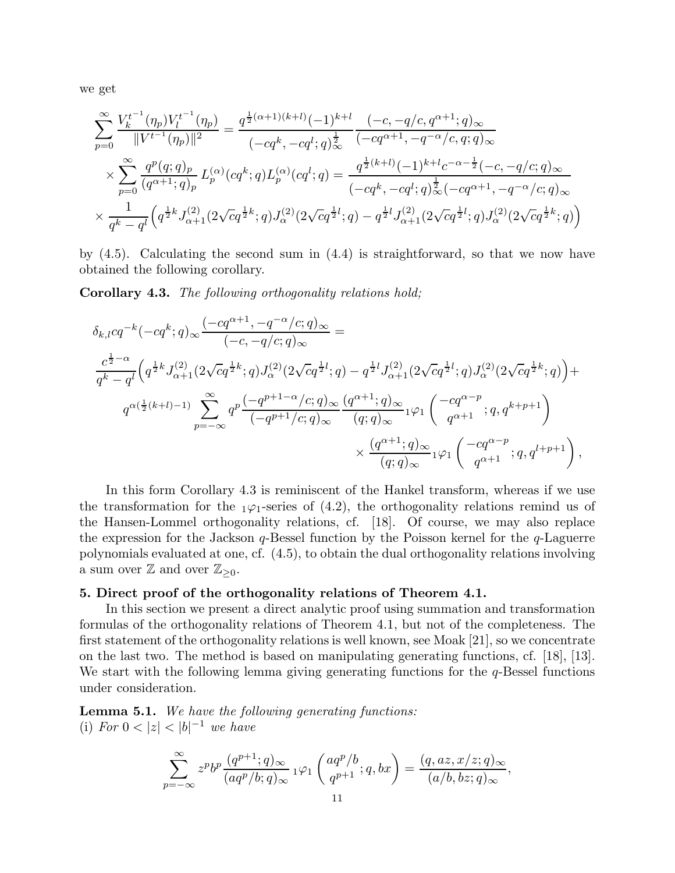we get

$$
\sum_{p=0}^{\infty} \frac{V_k^{t^{-1}}(\eta_p)V_l^{t^{-1}}(\eta_p)}{\|V^{t^{-1}}(\eta_p)\|^2} = \frac{q^{\frac{1}{2}(\alpha+1)(k+l)}(-1)^{k+l}}{(-cq^k, -cq^l; q)^{\frac{1}{2}}} \frac{(-c, -q/c, q^{\alpha+1}; q)_{\infty}}{(-cq^{\alpha+1}, -q^{-\alpha}/c, q; q)_{\infty}}
$$
\n
$$
\times \sum_{p=0}^{\infty} \frac{q^p(q; q)_p}{(q^{\alpha+1}; q)_p} L_p^{(\alpha)}(cq^k; q) L_p^{(\alpha)}(cq^l; q) = \frac{q^{\frac{1}{2}(k+l)}(-1)^{k+l}c^{-\alpha-\frac{1}{2}}(-c, -q/c; q)_{\infty}}{(-cq^k, -cq^l; q)^{\frac{1}{2}}_{\infty}(-cq^{\alpha+1}, -q^{-\alpha}/c; q)_{\infty}}
$$
\n
$$
\times \frac{1}{q^k - q^l} \left(q^{\frac{1}{2}k} J_{\alpha+1}^{(2)}(2\sqrt{c}q^{\frac{1}{2}k}; q) J_{\alpha}^{(2)}(2\sqrt{c}q^{\frac{1}{2}l}; q) - q^{\frac{1}{2}l} J_{\alpha+1}^{(2)}(2\sqrt{c}q^{\frac{1}{2}l}; q) J_{\alpha}^{(2)}(2\sqrt{c}q^{\frac{1}{2}k}; q)\right)
$$

by (4.5). Calculating the second sum in (4.4) is straightforward, so that we now have obtained the following corollary.

Corollary 4.3. *The following orthogonality relations hold;*

$$
\delta_{k,l}cq^{-k}(-cq^k;q)_{\infty}\frac{(-cq^{\alpha+1},-q^{-\alpha}/c;q)_{\infty}}{(-c,-q/c;q)_{\infty}} =
$$
\n
$$
\frac{c^{\frac{1}{2}-\alpha}}{q^k-q^l}\Big(q^{\frac{1}{2}k}J_{\alpha+1}^{(2)}(2\sqrt{c}q^{\frac{1}{2}k};q)J_{\alpha}^{(2)}(2\sqrt{c}q^{\frac{1}{2}l};q) - q^{\frac{1}{2}l}J_{\alpha+1}^{(2)}(2\sqrt{c}q^{\frac{1}{2}l};q)J_{\alpha}^{(2)}(2\sqrt{c}q^{\frac{1}{2}k};q)\Big) +
$$
\n
$$
q^{\alpha(\frac{1}{2}(k+l)-1)}\sum_{p=-\infty}^{\infty}q^p\frac{(-q^{p+1-\alpha}/c;q)_{\infty}}{(-q^{p+1}/c;q)_{\infty}}\frac{(q^{\alpha+1};q)_{\infty}}{(q;q)_{\infty}}{}_1\varphi_1\left(\begin{array}{c} -cq^{\alpha-p} \\ q^{\alpha+1} \end{array};q,q^{k+p+1}\right) +
$$
\n
$$
\times \frac{(q^{\alpha+1};q)_{\infty}}{(q;q)_{\infty}}{}_1\varphi_1\left(\begin{array}{c} -cq^{\alpha-p} \\ q^{\alpha+1} \end{array};q,q^{l+p+1}\right),
$$

In this form Corollary 4.3 is reminiscent of the Hankel transform, whereas if we use the transformation for the  $_1\varphi_1$ -series of (4.2), the orthogonality relations remind us of the Hansen-Lommel orthogonality relations, cf. [18]. Of course, we may also replace the expression for the Jackson  $q$ -Bessel function by the Poisson kernel for the  $q$ -Laguerre polynomials evaluated at one, cf. (4.5), to obtain the dual orthogonality relations involving a sum over  $\mathbb{Z}$  and over  $\mathbb{Z}_{\geq 0}$ .

#### 5. Direct proof of the orthogonality relations of Theorem 4.1.

In this section we present a direct analytic proof using summation and transformation formulas of the orthogonality relations of Theorem 4.1, but not of the completeness. The first statement of the orthogonality relations is well known, see Moak [21], so we concentrate on the last two. The method is based on manipulating generating functions, cf. [18], [13]. We start with the following lemma giving generating functions for the  $q$ -Bessel functions under consideration.

Lemma 5.1. *We have the following generating functions:* (i)  $For\ 0 < |z| < |b|^{-1}$  we have

$$
\sum_{p=-\infty}^{\infty} z^p b^p \frac{(q^{p+1};q)_{\infty}}{(aq^p/b;q)_{\infty}} 1^{\varphi_1} \left( \frac{aq^p/b}{q^{p+1}}; q, bx \right) = \frac{(q, az, x/z; q)_{\infty}}{(a/b, bz; q)_{\infty}},
$$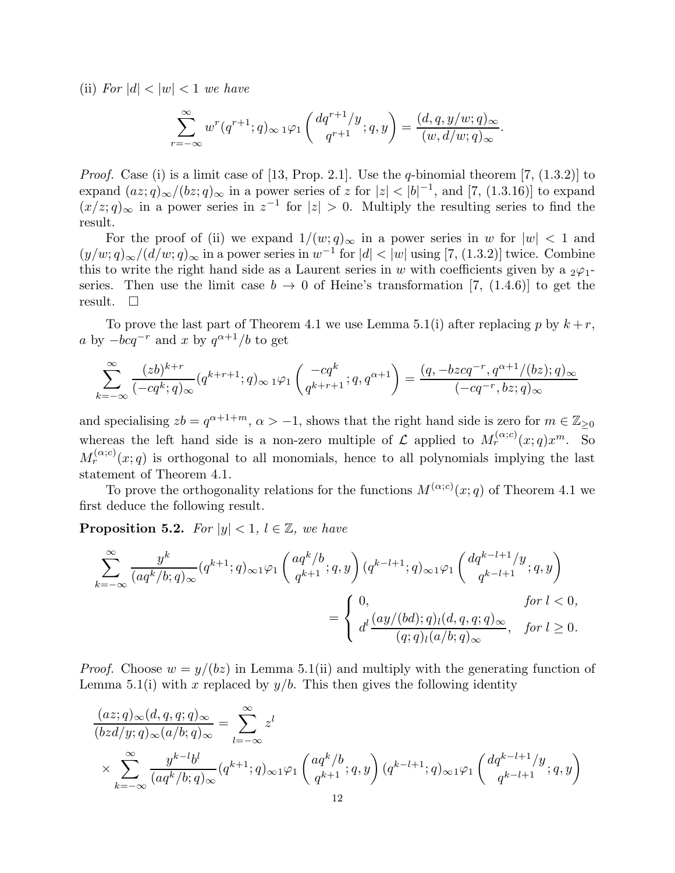(ii) *For*  $|d| < |w| < 1$  *we have* 

$$
\sum_{r=-\infty}^{\infty} w^r(q^{r+1};q)_{\infty} \, 1\varphi_1\left(\frac{dq^{r+1}/y}{q^{r+1}};q,y\right) = \frac{(d,q,y/w;q)_{\infty}}{(w,d/w;q)_{\infty}}.
$$

*Proof.* Case (i) is a limit case of [13, Prop. 2.1]. Use the *q*-binomial theorem [7, (1.3.2)] to expand  $(az; q)_{\infty}/(bz; q)_{\infty}$  in a power series of z for  $|z| < |b|^{-1}$ , and [7, (1.3.16)] to expand  $(x/z; q)_{\infty}$  in a power series in  $z^{-1}$  for  $|z| > 0$ . Multiply the resulting series to find the result.

For the proof of (ii) we expand  $1/(w; q)_{\infty}$  in a power series in w for  $|w| < 1$  and  $(y/w; q)_{\infty}/(d/w; q)_{\infty}$  in a power series in  $w^{-1}$  for  $|d| < |w|$  using [7, (1.3.2)] twice. Combine this to write the right hand side as a Laurent series in w with coefficients given by a  $_2\varphi_1$ series. Then use the limit case  $b \to 0$  of Heine's transformation [7, (1.4.6)] to get the result.  $\square$ 

To prove the last part of Theorem 4.1 we use Lemma 5.1(i) after replacing p by  $k + r$ , a by  $-bcq^{-r}$  and x by  $q^{\alpha+1}/b$  to get

$$
\sum_{k=-\infty}^{\infty} \frac{(zb)^{k+r}}{(-cq^k;q)_{\infty}} (q^{k+r+1};q)_{\infty} 1\varphi_1 \begin{pmatrix} -cq^k \\ q^{k+r+1} \end{pmatrix} = \frac{(q,-bzcq^{-r},q^{\alpha+1}/(bz);q)_{\infty}}{(-cq^{-r},bz;q)_{\infty}}
$$

and specialising  $zb = q^{\alpha+1+m}$ ,  $\alpha > -1$ , shows that the right hand side is zero for  $m \in \mathbb{Z}_{\geq 0}$ whereas the left hand side is a non-zero multiple of L applied to  $M_r^{(\alpha;c)}(x;q)x^m$ . So  $M_r^{(\alpha;c)}(x;q)$  is orthogonal to all monomials, hence to all polynomials implying the last statement of Theorem 4.1.

To prove the orthogonality relations for the functions  $M^{(\alpha;c)}(x;q)$  of Theorem 4.1 we first deduce the following result.

**Proposition 5.2.** *For*  $|y| < 1$ ,  $l \in \mathbb{Z}$ *, we have* 

$$
\sum_{k=-\infty}^{\infty} \frac{y^k}{(aq^k/b;q)_{\infty}} (q^{k+1};q)_{\infty} \mathbf{1} \varphi_1 \left(\frac{aq^k/b}{q^{k+1}};q,y\right) (q^{k-l+1};q)_{\infty} \mathbf{1} \varphi_1 \left(\frac{dq^{k-l+1}/y}{q^{k-l+1}};q,y\right)
$$
  

$$
= \begin{cases} 0, & \text{for } l < 0, \\ d^l \frac{(ay/(bd);q)_l(d,q,q;q)_{\infty}}{(q;q)_l(a/b;q)_{\infty}}, & \text{for } l \ge 0. \end{cases}
$$

*Proof.* Choose  $w = y/(bz)$  in Lemma 5.1(ii) and multiply with the generating function of Lemma 5.1(i) with x replaced by  $y/b$ . This then gives the following identity

$$
\frac{(az;q)_\infty (d,q,q;q)_\infty}{(bz d/y;q)_\infty (a/b;q)_\infty} = \sum_{l=-\infty}^{\infty} z^l
$$
\n
$$
\times \sum_{k=-\infty}^{\infty} \frac{y^{k-l} b^l}{(aq^k/b;q)_\infty} (q^{k+1};q)_\infty 1 \varphi_1 \left(\frac{aq^k/b}{q^{k+1}};q,y\right) (q^{k-l+1};q)_\infty 1 \varphi_1 \left(\frac{dq^{k-l+1}/y}{q^{k-l+1}};q,y\right)
$$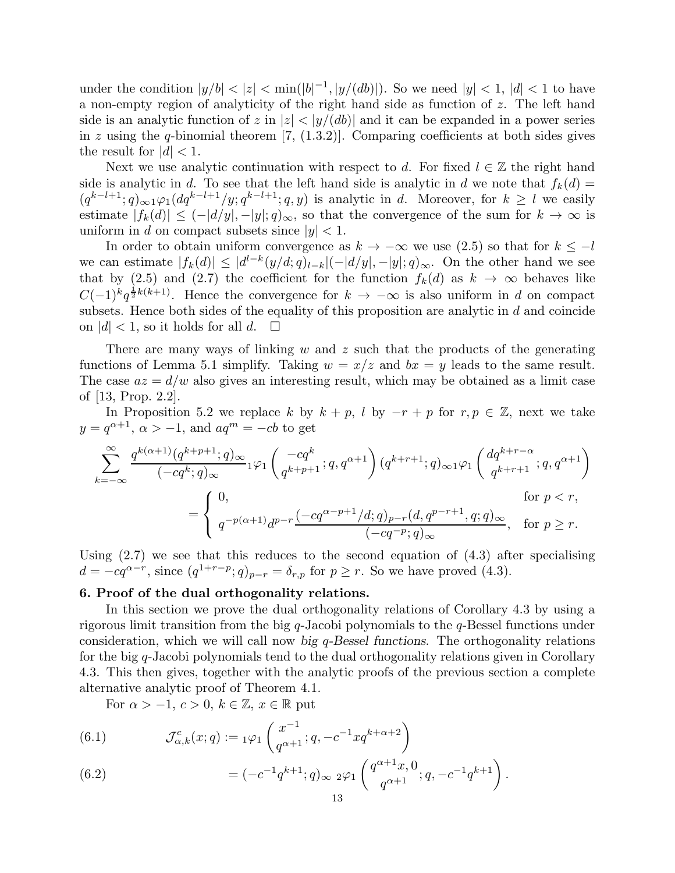under the condition  $|y/b| < |z| < \min(|b|^{-1}, |y/(db)|)$ . So we need  $|y| < 1$ ,  $|d| < 1$  to have a non-empty region of analyticity of the right hand side as function of z. The left hand side is an analytic function of z in  $|z| < |y/(db)|$  and it can be expanded in a power series in z using the q-binomial theorem  $[7, (1.3.2)]$ . Comparing coefficients at both sides gives the result for  $|d|$  < 1.

Next we use analytic continuation with respect to d. For fixed  $l \in \mathbb{Z}$  the right hand side is analytic in d. To see that the left hand side is analytic in d we note that  $f_k(d) =$  $(q^{k-l+1}; q)_{\infty} \log_1(dq^{k-l+1}/y; q^{k-l+1}; q, y)$  is analytic in d. Moreover, for  $k \geq l$  we easily estimate  $|f_k(d)| \leq (-|d/y|, -|y|; q)_{\infty}$ , so that the convergence of the sum for  $k \to \infty$  is uniform in d on compact subsets since  $|y| < 1$ .

In order to obtain uniform convergence as  $k \to -\infty$  we use (2.5) so that for  $k \le -l$ we can estimate  $|f_k(d)| \leq |d^{l-k}(y/d;q)_{l-k}|(-|d/y|,-|y|;q)_{\infty}$ . On the other hand we see that by (2.5) and (2.7) the coefficient for the function  $f_k(d)$  as  $k \to \infty$  behaves like  $C(-1)^k q^{\frac{1}{2}k(k+1)}$ . Hence the convergence for  $k \to -\infty$  is also uniform in d on compact subsets. Hence both sides of the equality of this proposition are analytic in  $d$  and coincide on  $|d|$  < 1, so it holds for all d.  $\square$ 

There are many ways of linking w and z such that the products of the generating functions of Lemma 5.1 simplify. Taking  $w = x/z$  and  $bx = y$  leads to the same result. The case  $az = d/w$  also gives an interesting result, which may be obtained as a limit case of [13, Prop. 2.2].

In Proposition 5.2 we replace k by  $k + p$ , l by  $-r + p$  for  $r, p \in \mathbb{Z}$ , next we take  $y = q^{\alpha+1}, \, \alpha > -1, \text{ and } aq^m = -cb$  to get

$$
\label{eq:20} \begin{split} \sum_{k=-\infty}^{\infty}\frac{q^{k(\alpha+1)}(q^{k+p+1};q)_{\infty}}{(-cq^k;q)_{\infty}}{}_1\varphi_1&\left(\frac{-cq^k}{q^{k+p+1}};q,q^{\alpha+1}\right)(q^{k+r+1};q)_{\infty}{}_1\varphi_1\left(\frac{dq^{k+r-\alpha}}{q^{k+r+1}};q,q^{\alpha+1}\right)\\ &=\left\{\begin{array}{ll} 0, &\text{for }p< r,\\ q^{-p(\alpha+1)}d^{p-r}\frac{(-cq^{\alpha-p+1}/d;q)_{p-r}(d,q^{p-r+1},q;q)_{\infty}}{(-cq^{-p};q)_{\infty}}, &\text{for }p\geq r. \end{array}\right.
$$

Using  $(2.7)$  we see that this reduces to the second equation of  $(4.3)$  after specialising  $d = -cq^{\alpha-r}$ , since  $(q^{1+r-p}; q)_{p-r} = \delta_{r,p}$  for  $p \geq r$ . So we have proved (4.3).

## 6. Proof of the dual orthogonality relations.

In this section we prove the dual orthogonality relations of Corollary 4.3 by using a rigorous limit transition from the big q-Jacobi polynomials to the q-Bessel functions under consideration, which we will call now big q-Bessel functions. The orthogonality relations for the big q-Jacobi polynomials tend to the dual orthogonality relations given in Corollary 4.3. This then gives, together with the analytic proofs of the previous section a complete alternative analytic proof of Theorem 4.1.

For  $\alpha > -1, c > 0, k \in \mathbb{Z}, x \in \mathbb{R}$  put

(6.1) 
$$
\mathcal{J}_{\alpha,k}^c(x;q) := {}_1\varphi_1\left(\frac{x^{-1}}{q^{\alpha+1}}; q, -c^{-1}xq^{k+\alpha+2}\right)
$$

(6.2) 
$$
= (-c^{-1}q^{k+1}; q)_{\infty} 2\varphi_1 \left( \frac{q^{\alpha+1}x, 0}{q^{\alpha+1}}; q, -c^{-1}q^{k+1} \right).
$$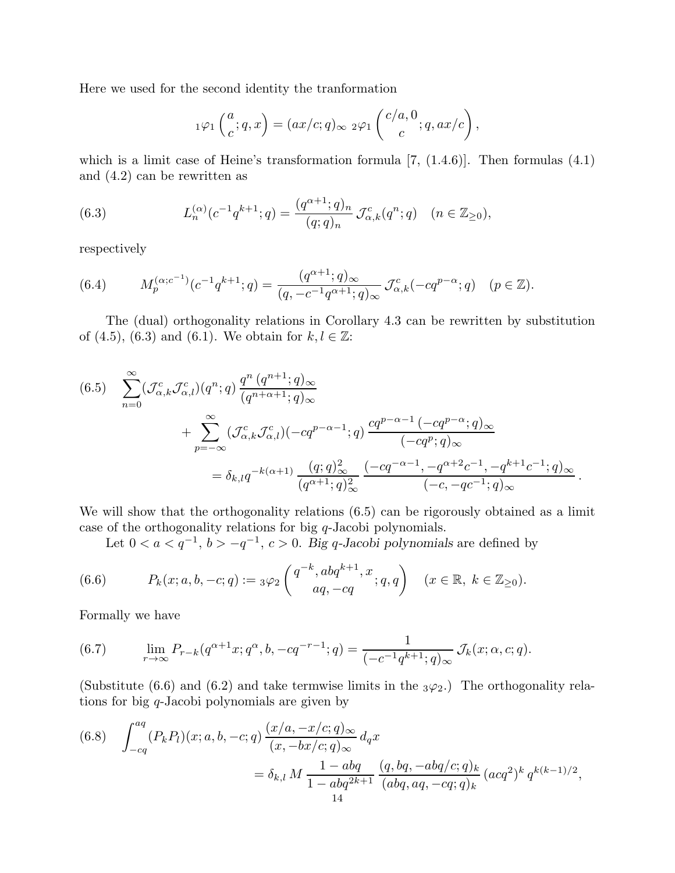Here we used for the second identity the tranformation

$$
{}_1\varphi_1\left(\frac{a}{c};q,x\right)=(ax/c;q)_\infty \;{}_2\varphi_1\left(\frac{c/a,0}{c};q,ax/c\right),
$$

which is a limit case of Heine's transformation formula  $[7, (1.4.6)]$ . Then formulas  $(4.1)$ and (4.2) can be rewritten as

(6.3) 
$$
L_n^{(\alpha)}(c^{-1}q^{k+1};q) = \frac{(q^{\alpha+1};q)_n}{(q;q)_n} \mathcal{J}_{\alpha,k}^c(q^n;q) \quad (n \in \mathbb{Z}_{\geq 0}),
$$

respectively

(6.4) 
$$
M_p^{(\alpha; c^{-1})}(c^{-1}q^{k+1};q) = \frac{(q^{\alpha+1};q)_{\infty}}{(q, -c^{-1}q^{\alpha+1};q)_{\infty}} \mathcal{J}_{\alpha,k}^c(-cq^{p-\alpha};q) \quad (p \in \mathbb{Z}).
$$

The (dual) orthogonality relations in Corollary 4.3 can be rewritten by substitution of (4.5), (6.3) and (6.1). We obtain for  $k, l \in \mathbb{Z}$ :

$$
(6.5) \sum_{n=0}^{\infty} (\mathcal{J}_{\alpha,k}^{c} \mathcal{J}_{\alpha,l}^{c}) (q^{n};q) \frac{q^{n} (q^{n+1};q)_{\infty}}{(q^{n+\alpha+1};q)_{\infty}} + \sum_{p=-\infty}^{\infty} (\mathcal{J}_{\alpha,k}^{c} \mathcal{J}_{\alpha,l}^{c}) (-cq^{p-\alpha-1};q) \frac{cq^{p-\alpha-1} (-cq^{p-\alpha};q)_{\infty}}{(-cq^{p};q)_{\infty}} = \delta_{k,l} q^{-k(\alpha+1)} \frac{(q;q)_{\infty}^{2}}{(q^{\alpha+1};q)_{\infty}^{2}} \frac{(-cq^{-\alpha-1},-q^{\alpha+2}c^{-1},-q^{k+1}c^{-1};q)_{\infty}}{(-c,-qc^{-1};q)_{\infty}}.
$$

We will show that the orthogonality relations (6.5) can be rigorously obtained as a limit case of the orthogonality relations for big q-Jacobi polynomials.

Let  $0 < a < q^{-1}$ ,  $b > -q^{-1}$ ,  $c > 0$ . Big q-Jacobi polynomials are defined by

(6.6) 
$$
P_k(x;a,b,-c;q) := {}_3\varphi_2\left(\begin{matrix}q^{-k}, abq^{k+1},x\\ aq,-cq\end{matrix};q,q\right) \quad (x \in \mathbb{R}, k \in \mathbb{Z}_{\geq 0}).
$$

Formally we have

(6.7) 
$$
\lim_{r \to \infty} P_{r-k}(q^{\alpha+1}x; q^{\alpha}, b, -cq^{-r-1}; q) = \frac{1}{(-c^{-1}q^{k+1}; q)_{\infty}} \mathcal{J}_k(x; \alpha, c; q).
$$

(Substitute (6.6) and (6.2) and take termwise limits in the  $_3\varphi_2$ .) The orthogonality relations for big q-Jacobi polynomials are given by

(6.8) 
$$
\int_{-cq}^{aq} (P_k P_l)(x; a, b, -c; q) \frac{(x/a, -x/c; q)_{\infty}}{(x, -bx/c; q)_{\infty}} d_q x
$$
  

$$
= \delta_{k,l} M \frac{1 - abq}{1 - abq^{2k+1}} \frac{(q, bq, -abq/c; q)_k}{(abq, aq, -cq; q)_k} (acq^2)^k q^{k(k-1)/2},
$$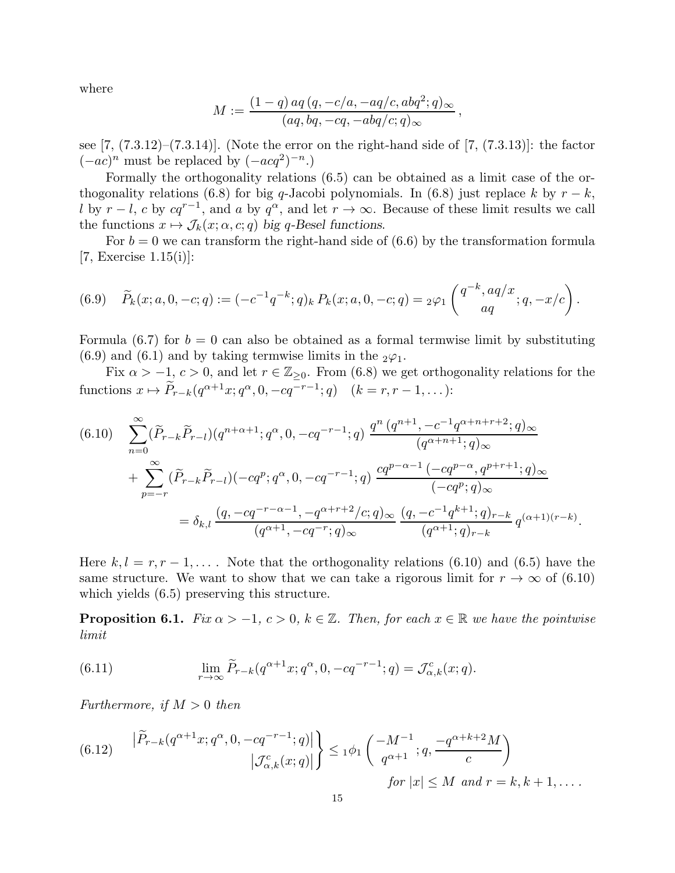where

$$
M:=\frac{(1-q)\,aq\,(q,-c/a,-aq/c,abq^2;q)_\infty}{(aq,bq,-cq,-abq/c;q)_\infty}\,,
$$

see  $[7, (7.3.12)$ – $(7.3.14)$ ]. (Note the error on the right-hand side of  $[7, (7.3.13)]$ : the factor  $(-ac)^n$  must be replaced by  $(-acq^2)^{-n}$ .)

Formally the orthogonality relations (6.5) can be obtained as a limit case of the orthogonality relations (6.8) for big q-Jacobi polynomials. In (6.8) just replace k by  $r - k$ , l by  $r - l$ , c by  $cq^{r-1}$ , and a by  $q^{\alpha}$ , and let  $r \to \infty$ . Because of these limit results we call the functions  $x \mapsto \mathcal{J}_k(x; \alpha, c; q)$  big q-Besel functions.

For  $b = 0$  we can transform the right-hand side of  $(6.6)$  by the transformation formula [7, Exercise  $1.15(i)$ ]:

(6.9) 
$$
\widetilde{P}_k(x;a,0,-c;q) := (-c^{-1}q^{-k};q)_k P_k(x;a,0,-c;q) = {}_2\varphi_1\left(\begin{matrix}q^{-k},aq/x\\aq\end{matrix};q,-x/c\right).
$$

Formula (6.7) for  $b = 0$  can also be obtained as a formal termwise limit by substituting  $(6.9)$  and  $(6.1)$  and by taking termwise limits in the  $_2\varphi_1$ .

Fix  $\alpha > -1, c > 0$ , and let  $r \in \mathbb{Z}_{\geq 0}$ . From (6.8) we get orthogonality relations for the functions  $x \mapsto \widetilde{P}_{r-k}(q^{\alpha+1}x; q^{\alpha}, 0, -cq^{-r-1}; q)$   $(k = r, r - 1, ...):$ 

$$
(6.10) \sum_{n=0}^{\infty} (\widetilde{P}_{r-k}\widetilde{P}_{r-l})(q^{n+\alpha+1};q^{\alpha},0,-cq^{-r-1};q) \frac{q^n (q^{n+1},-c^{-1}q^{\alpha+n+r+2};q)_{\infty}}{(q^{\alpha+n+1};q)_{\infty}} + \sum_{p=-r}^{\infty} (\widetilde{P}_{r-k}\widetilde{P}_{r-l})(-cq^p;q^{\alpha},0,-cq^{-r-1};q) \frac{cq^{p-\alpha-1}(-cq^{p-\alpha},q^{p+r+1};q)_{\infty}}{(-cq^p;q)_{\infty}} = \delta_{k,l} \frac{(q,-cq^{-r-\alpha-1},-q^{\alpha+r+2}/c;q)_{\infty}}{(q^{\alpha+1},-cq^{-r};q)_{\infty}} \frac{(q,-c^{-1}q^{k+1};q)_{r-k}}{(q^{\alpha+1};q)_{r-k}} q^{(\alpha+1)(r-k)}.
$$

Here  $k, l = r, r - 1, \ldots$ . Note that the orthogonality relations (6.10) and (6.5) have the same structure. We want to show that we can take a rigorous limit for  $r \to \infty$  of (6.10) which yields (6.5) preserving this structure.

**Proposition 6.1.** *Fix*  $\alpha > -1$ ,  $c > 0$ ,  $k \in \mathbb{Z}$ . *Then, for each*  $x \in \mathbb{R}$  *we have the pointwise limit*

(6.11) 
$$
\lim_{r \to \infty} \widetilde{P}_{r-k}(q^{\alpha+1}x; q^{\alpha}, 0, -cq^{-r-1}; q) = \mathcal{J}_{\alpha,k}^{c}(x; q).
$$

*Furthermore, if*  $M > 0$  *then* 

(6.12) 
$$
\left| \widetilde{P}_{r-k}(q^{\alpha+1}x; q^{\alpha}, 0, -cq^{-r-1}; q) \right| \brace |\mathcal{J}^c_{\alpha,k}(x; q)| \brace 0^{d+1} \leq 1^{\phi_1} \left( \frac{-M^{-1}}{q^{\alpha+1}}; q, \frac{-q^{\alpha+k+2}M}{c} \right)
$$
  
for  $|x| \leq M$  and  $r = k, k+1, ...$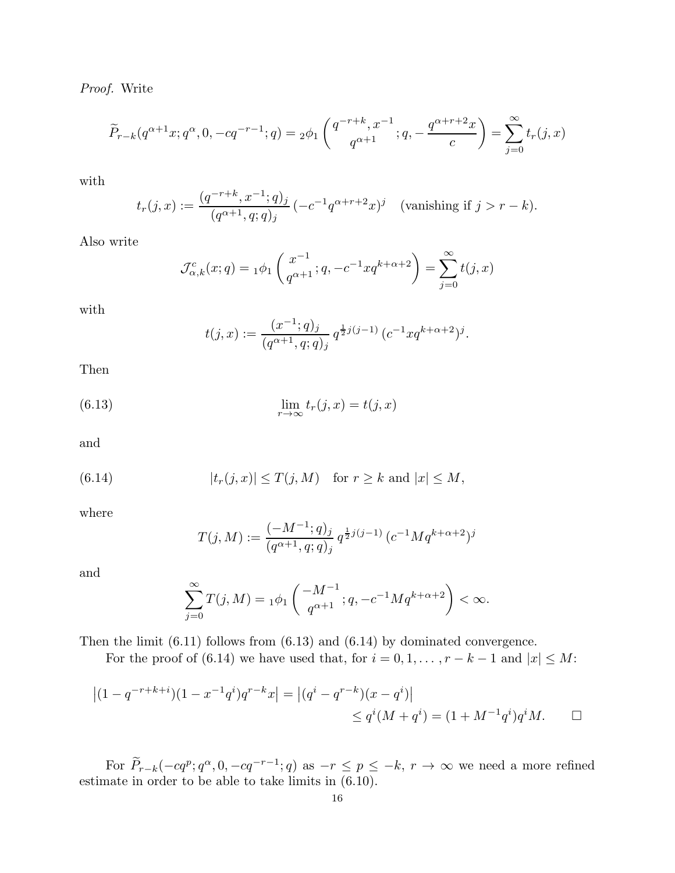*Proof.* Write

$$
\widetilde{P}_{r-k}(q^{\alpha+1}x; q^{\alpha}, 0, -cq^{-r-1}; q) = {}_2\phi_1\left(\frac{q^{-r+k}, x^{-1}}{q^{\alpha+1}}; q, -\frac{q^{\alpha+r+2}x}{c}\right) = \sum_{j=0}^{\infty} t_r(j, x)
$$

with

$$
t_r(j,x) := \frac{(q^{-r+k}, x^{-1}; q)_j}{(q^{\alpha+1}, q; q)_j} \left( -c^{-1} q^{\alpha+r+2} x \right)^j \quad \text{(vanishing if } j > r-k).
$$

Also write

$$
\mathcal{J}_{\alpha,k}^c(x;q) = 1 \phi_1 \left( \frac{x^{-1}}{q^{\alpha+1}}; q, -c^{-1} x q^{k+\alpha+2} \right) = \sum_{j=0}^{\infty} t(j,x)
$$

with

$$
t(j,x) := \frac{(x^{-1};q)_j}{(q^{\alpha+1},q;q)_j} q^{\frac{1}{2}j(j-1)} (c^{-1}xq^{k+\alpha+2})^j.
$$

Then

(6.13) 
$$
\lim_{r \to \infty} t_r(j, x) = t(j, x)
$$

and

(6.14) 
$$
|t_r(j,x)| \leq T(j,M) \text{ for } r \geq k \text{ and } |x| \leq M,
$$

where

$$
T(j,M) := \frac{(-M^{-1};q)_j}{(q^{\alpha+1},q;q)_j} q^{\frac{1}{2}j(j-1)} (c^{-1}Mq^{k+\alpha+2})^j
$$

and

$$
\sum_{j=0}^{\infty} T(j, M) = 1\phi_1 \left( \frac{-M^{-1}}{q^{\alpha+1}}; q, -c^{-1} M q^{k+\alpha+2} \right) < \infty.
$$

Then the limit (6.11) follows from (6.13) and (6.14) by dominated convergence.

For the proof of (6.14) we have used that, for  $i = 0, 1, \ldots, r - k - 1$  and  $|x| \le M$ :

$$
|(1 - q^{-r+k+i})(1 - x^{-1}q^{i})q^{r-k}x| = |(q^{i} - q^{r-k})(x - q^{i})|
$$
  
\n
$$
\leq q^{i}(M + q^{i}) = (1 + M^{-1}q^{i})q^{i}M.
$$

For  $P_{r-k}(-cq^p; q^{\alpha}, 0, -cq^{-r-1}; q)$  as  $-r \leq p \leq -k$ ,  $r \to \infty$  we need a more refined estimate in order to be able to take limits in (6.10).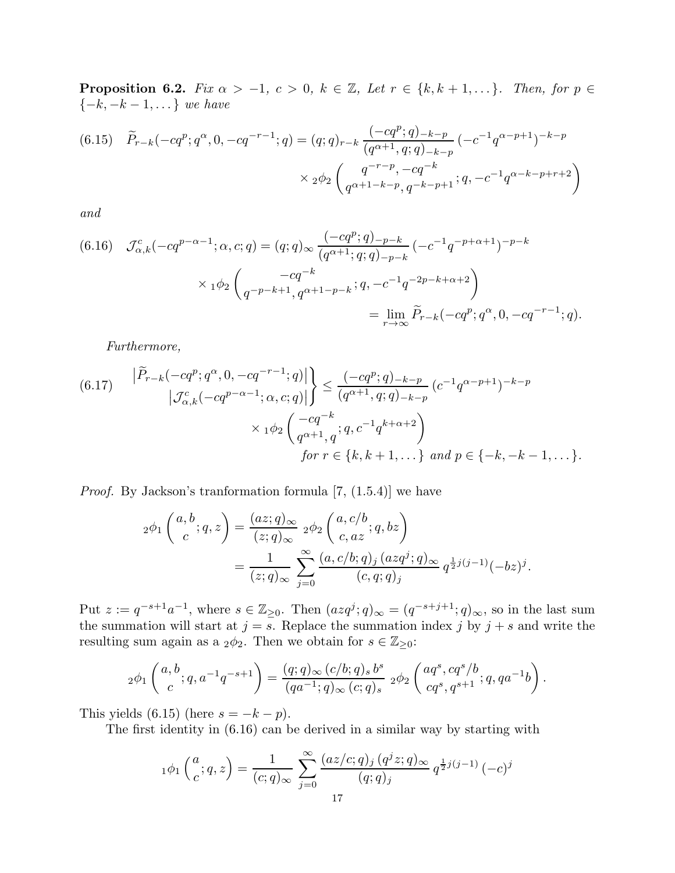**Proposition 6.2.** *Fix*  $\alpha > -1$ *,*  $c > 0$ *,*  $k \in \mathbb{Z}$ *, Let*  $r \in \{k, k+1, \dots\}$ *. Then, for*  $p \in$ {−k, −k − 1, . . . } *we have*

(6.15) 
$$
\widetilde{P}_{r-k}(-cq^p;q^{\alpha},0,-cq^{-r-1};q) = (q;q)_{r-k} \frac{(-cq^p;q)_{-k-p}}{(q^{\alpha+1},q;q)_{-k-p}} (-c^{-1}q^{\alpha-p+1})^{-k-p}
$$

$$
\times 2\phi_2 \begin{pmatrix} q^{-r-p},-cq^{-k} \\ q^{\alpha+1-k-p},q^{-k-p+1};q,-c^{-1}q^{\alpha-k-p+r+2} \end{pmatrix}
$$

*and*

$$
(6.16) \quad \mathcal{J}_{\alpha,k}^{c}(-cq^{p-\alpha-1};\alpha,c;q) = (q;q)_{\infty} \frac{(-cq^{p};q)_{-p-k}}{(q^{\alpha+1};q;q)_{-p-k}} \left(-c^{-1}q^{-p+\alpha+1}\right)^{-p-k}
$$

$$
\times 1\phi_2\begin{pmatrix} -cq^{-k} \\ q^{-p-k+1}, q^{\alpha+1-p-k} \end{pmatrix} = \lim_{r \to \infty} \widetilde{P}_{r-k}(-cq^{p};q^{\alpha},0, -cq^{-r-1};q).
$$

*Furthermore,*

$$
(6.17) \qquad \left| \widetilde{P}_{r-k}(-cq^p;q^{\alpha},0,-cq^{-r-1};q) \right| \right\} \le \frac{(-cq^p;q)_{-k-p}}{(q^{\alpha+1},q;q)_{-k-p}} (c^{-1}q^{\alpha-p+1})^{-k-p}
$$
\n
$$
\times 1^{\phi_2} \begin{pmatrix} -cq^{-k} \\ q^{\alpha+1},q \end{pmatrix}; q, c^{-1}q^{k+\alpha+2} \Big)
$$
\n
$$
for \ r \in \{k, k+1, \ldots\} \ and \ p \in \{-k, -k-1, \ldots\}.
$$

*Proof.* By Jackson's tranformation formula [7, (1.5.4)] we have

$$
{}_2\phi_1\left(\begin{array}{c} a,b\\ c \end{array};q,z\right) = \frac{(az;q)_\infty}{(z;q)_\infty} \cdot {}_2\phi_2\left(\begin{array}{c} a,c/b\\ c,az \end{array};q,bz\right)
$$
  
= 
$$
\frac{1}{(z;q)_\infty} \sum_{j=0}^\infty \frac{(a,c/b;q)_j \cdot (azq^j;q)_\infty}{(c,q;q)_j} q^{\frac{1}{2}j(j-1)}(-bz)^j.
$$

Put  $z := q^{-s+1}a^{-1}$ , where  $s \in \mathbb{Z}_{\geq 0}$ . Then  $(azq^j; q)_{\infty} = (q^{-s+j+1}; q)_{\infty}$ , so in the last sum the summation will start at  $j = s$ . Replace the summation index j by  $j + s$  and write the resulting sum again as a <sub>2</sub> $\phi$ <sub>2</sub>. Then we obtain for  $s \in \mathbb{Z}_{\geq 0}$ :

$$
{}_2\phi_1\left(\begin{matrix}a,b\\c\end{matrix};q,a^{-1}q^{-s+1}\right)=\frac{(q;q)_\infty\,(c/b;q)_s\,b^s}{(qa^{-1};q)_\infty\,(c;q)_s}\,{}_2\phi_2\left(\begin{matrix}aq^s,cq^s/b\\cq^s,q^{s+1}\end{matrix};q,qa^{-1}b\right).
$$

This yields (6.15) (here  $s = -k - p$ ).

The first identity in (6.16) can be derived in a similar way by starting with

$$
{}_1\phi_1\left(\frac{a}{c};q,z\right) = \frac{1}{(c;q)_{\infty}} \sum_{j=0}^{\infty} \frac{(az/c;q)_j (q^j z;q)_{\infty}}{(q;q)_j} q^{\frac{1}{2}j(j-1)} (-c)^j
$$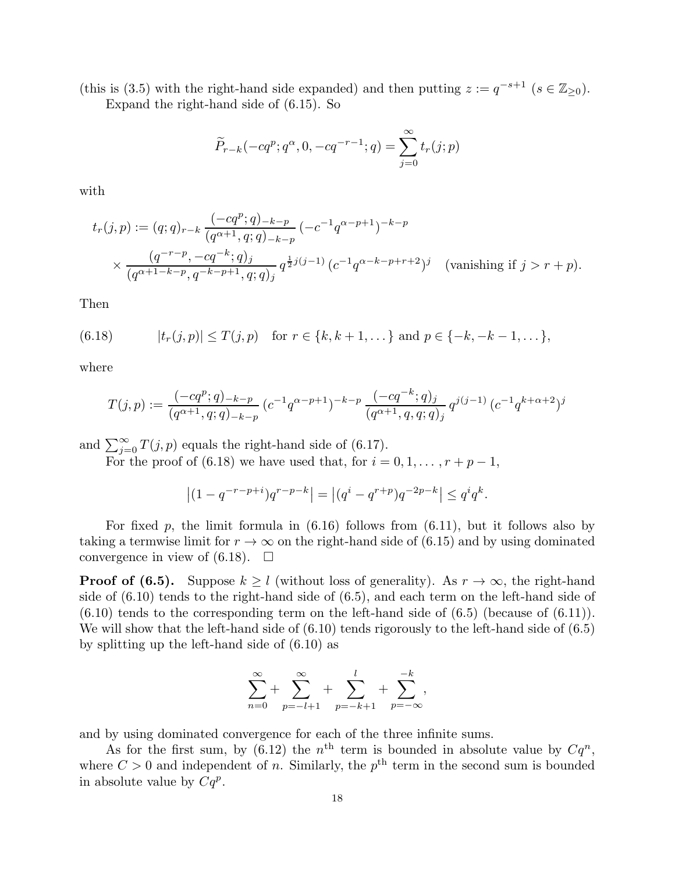(this is (3.5) with the right-hand side expanded) and then putting  $z := q^{-s+1}$  ( $s \in \mathbb{Z}_{\geq 0}$ ). Expand the right-hand side of (6.15). So

$$
\widetilde{P}_{r-k}(-cq^{p};q^{\alpha},0,-cq^{-r-1};q) = \sum_{j=0}^{\infty} t_{r}(j;p)
$$

with

$$
t_r(j,p) := (q;q)_{r-k} \frac{(-cq^p;q)_{-k-p}}{(q^{\alpha+1},q;q)_{-k-p}} (-c^{-1}q^{\alpha-p+1})^{-k-p}
$$
  
\$\times \frac{(q^{-r-p}, -cq^{-k};q)\_j}{(q^{\alpha+1-k-p}, q^{-k-p+1}, q; q)\_j} q^{\frac{1}{2}j(j-1)} (c^{-1}q^{\alpha-k-p+r+2})^j\$ (vanishing if  $j > r + p$ ).

Then

(6.18) 
$$
|t_r(j,p)| \leq T(j,p) \text{ for } r \in \{k, k+1, \dots\} \text{ and } p \in \{-k, -k-1, \dots\},
$$

where

$$
T(j,p) := \frac{(-cq^p;q)_{-k-p}}{(q^{\alpha+1},q;q)_{-k-p}} \left(c^{-1}q^{\alpha-p+1}\right)^{-k-p} \frac{(-cq^{-k};q)_j}{(q^{\alpha+1},q,q;q)_j} q^{j(j-1)} \left(c^{-1}q^{k+\alpha+2}\right)^j
$$

and  $\sum_{j=0}^{\infty} T(j, p)$  equals the right-hand side of (6.17).

For the proof of (6.18) we have used that, for  $i = 0, 1, \ldots, r + p - 1$ ,

$$
\left| (1 - q^{-r - p + i}) q^{r - p - k} \right| = \left| (q^{i} - q^{r + p}) q^{-2p - k} \right| \le q^{i} q^{k}.
$$

For fixed p, the limit formula in  $(6.16)$  follows from  $(6.11)$ , but it follows also by taking a termwise limit for  $r \to \infty$  on the right-hand side of (6.15) and by using dominated convergence in view of  $(6.18)$ .  $\Box$ 

**Proof of (6.5).** Suppose  $k \geq l$  (without loss of generality). As  $r \to \infty$ , the right-hand side of (6.10) tends to the right-hand side of (6.5), and each term on the left-hand side of  $(6.10)$  tends to the corresponding term on the left-hand side of  $(6.5)$  (because of  $(6.11)$ ). We will show that the left-hand side of  $(6.10)$  tends rigorously to the left-hand side of  $(6.5)$ by splitting up the left-hand side of (6.10) as

$$
\sum_{n=0}^{\infty} + \sum_{p=-l+1}^{\infty} + \sum_{p=-k+1}^{l} + \sum_{p=-\infty}^{-k},
$$

and by using dominated convergence for each of the three infinite sums.

As for the first sum, by (6.12) the  $n<sup>th</sup>$  term is bounded in absolute value by  $Cq<sup>n</sup>$ , where  $C > 0$  and independent of n. Similarly, the  $p<sup>th</sup>$  term in the second sum is bounded in absolute value by  $Cq^p$ .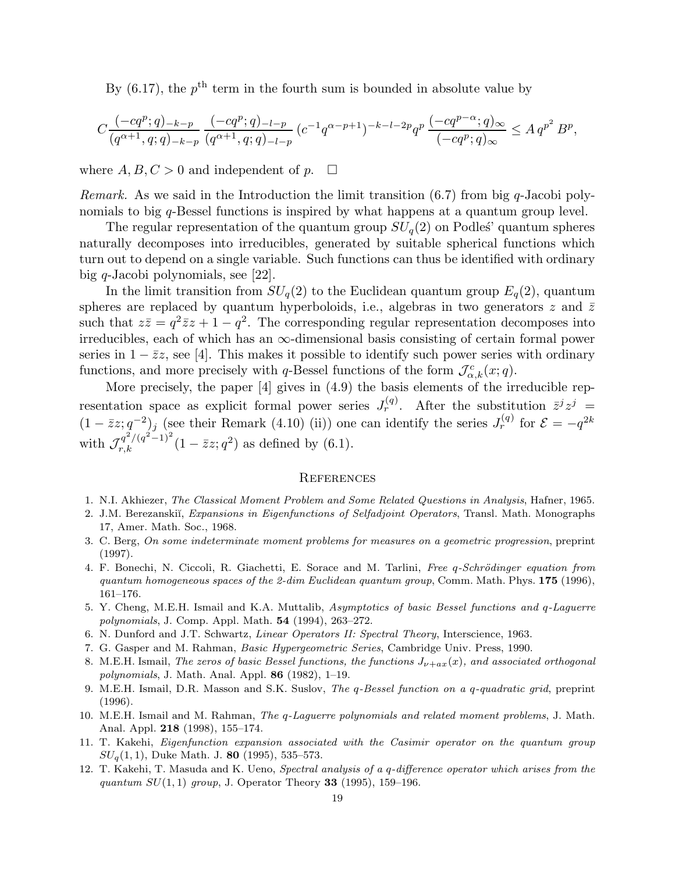By  $(6.17)$ , the  $p<sup>th</sup>$  term in the fourth sum is bounded in absolute value by

$$
C\frac{(-cq^p;q)_{-k-p}}{(q^{\alpha+1},q;q)_{-k-p}}\frac{(-cq^p;q)_{-l-p}}{(q^{\alpha+1},q;q)_{-l-p}}(c^{-1}q^{\alpha-p+1})^{-k-l-2p}q^p\frac{(-cq^{p-\alpha};q)_{\infty}}{(-cq^p;q)_{\infty}}\leq A\,q^{p^2}\,B^p,
$$

where  $A, B, C > 0$  and independent of p.  $\square$ 

*Remark.* As we said in the Introduction the limit transition  $(6.7)$  from big q-Jacobi polynomials to big q-Bessel functions is inspired by what happens at a quantum group level.

The regular representation of the quantum group  $SU_q(2)$  on Podles' quantum spheres naturally decomposes into irreducibles, generated by suitable spherical functions which turn out to depend on a single variable. Such functions can thus be identified with ordinary big q-Jacobi polynomials, see [22].

In the limit transition from  $SU_q(2)$  to the Euclidean quantum group  $E_q(2)$ , quantum spheres are replaced by quantum hyperboloids, i.e., algebras in two generators z and  $\bar{z}$ such that  $z\overline{z}=q^2\overline{z}z+1-q^2$ . The corresponding regular representation decomposes into irreducibles, each of which has an  $\infty$ -dimensional basis consisting of certain formal power series in  $1 - \bar{z}z$ , see [4]. This makes it possible to identify such power series with ordinary functions, and more precisely with q-Bessel functions of the form  $\mathcal{J}_{\alpha,k}^c(x;q)$ .

More precisely, the paper [4] gives in (4.9) the basis elements of the irreducible representation space as explicit formal power series  $J_r^{(q)}$ . After the substitution  $\bar{z}^j z^j =$  $(1-\bar zz; q^{-2})_j$  (see their Remark (4.10) (ii)) one can identify the series  $J_r^{(q)}$  for  $\mathcal{E} = -q^{2k}$ with  $\mathcal{J}_{r,k}^{q^2/(q^2-1)^2} (1 - \bar{z}z; q^2)$  as defined by (6.1).

## **REFERENCES**

- 1. N.I. Akhiezer, The Classical Moment Problem and Some Related Questions in Analysis, Hafner, 1965.
- 2. J.M. Berezanskiĭ, Expansions in Eigenfunctions of Selfadjoint Operators, Transl. Math. Monographs 17, Amer. Math. Soc., 1968.
- 3. C. Berg, On some indeterminate moment problems for measures on a geometric progression, preprint (1997).
- 4. F. Bonechi, N. Ciccoli, R. Giachetti, E. Sorace and M. Tarlini, Free q-Schrödinger equation from quantum homogeneous spaces of the 2-dim Euclidean quantum group, Comm. Math. Phys.  $175$  (1996), 161–176.
- 5. Y. Cheng, M.E.H. Ismail and K.A. Muttalib, Asymptotics of basic Bessel functions and q-Laguerre polynomials, J. Comp. Appl. Math. 54 (1994), 263–272.
- 6. N. Dunford and J.T. Schwartz, Linear Operators II: Spectral Theory, Interscience, 1963.
- 7. G. Gasper and M. Rahman, Basic Hypergeometric Series, Cambridge Univ. Press, 1990.
- 8. M.E.H. Ismail, The zeros of basic Bessel functions, the functions  $J_{\nu+a x}(x)$ , and associated orthogonal polynomials, J. Math. Anal. Appl. 86 (1982), 1–19.
- 9. M.E.H. Ismail, D.R. Masson and S.K. Suslov, The q-Bessel function on a q-quadratic grid, preprint (1996).
- 10. M.E.H. Ismail and M. Rahman, The q-Laguerre polynomials and related moment problems, J. Math. Anal. Appl. 218 (1998), 155–174.
- 11. T. Kakehi, Eigenfunction expansion associated with the Casimir operator on the quantum group  $SU_q(1,1)$ , Duke Math. J. 80 (1995), 535–573.
- 12. T. Kakehi, T. Masuda and K. Ueno, Spectral analysis of a q-difference operator which arises from the quantum  $SU(1, 1)$  group, J. Operator Theory 33 (1995), 159–196.